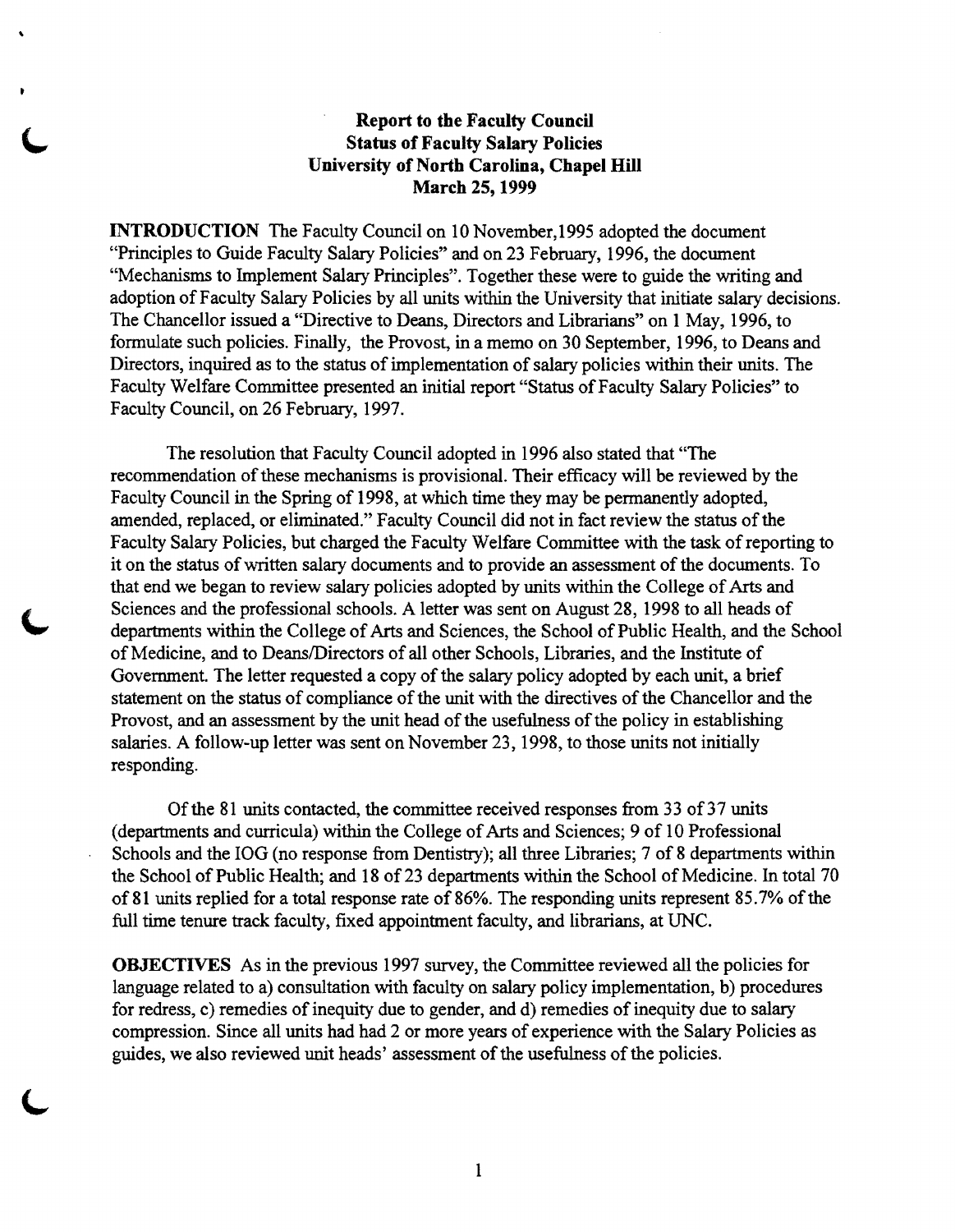## Report to the Faculty Council Status of Faculty Salary Policies University of North Carolina, Chapel **Hill** March 25, 1999

,

INTRODUCTION The Faculty Council on 10 November, 1995 adopted the document "Principles to Guide Faculty Salary Policies" and on 23 February, 1996, the document "Mechanisms to Implement Salary Principles". Together these were to guide the writing and adoption of Faculty Salary Policies by all units within the University that initiate salary decisions. The Chancellor issued a "Directive to Deans, Directors and Librarians" on 1 May, 1996, to formulate such policies. Finally, the Provost, in a memo on 30 September, 1996, to Deans and Directors, inquired as to the status of implementation of salary policies within their units. The Faculty Welfare Committee presented an initial report "Status of Faculty Salary Policies" to Faculty Council, on 26 February, 1997.

The resolution that Faculty Council adopted in 1996 also stated that "The recommendation of these mechanisms is provisional. Their efficacy will be reviewed by the Faculty Council in the Spring of 1998, at which time they may be permanently adopted, amended, replaced, or eliminated." Faculty Council did not in fact review the status of the Faculty Salary Policies, but charged the Faculty Welfare Committee with the task ofreporting to it on the status of written salary documents and to provide an assessment of the documents. To that end we began to review salary policies adopted by units within the College of Arts and Sciences and the professional schools. A letter was sent on August 28, 1998 to all heads of departments within the College of Arts and Sciences, the School of Public Health, and the School of Medicine, and to Deans/Directors of all other Schools, Libraries, and the Institute of Government. The letter requested a copy of the salary policy adopted by each unit, a brief statement on the status of compliance of the unit with the directives of the Chancellor and the Provost, and an assessment by the unit head of the usefulness of the policy in establishing salaries. A follow-up letter was sent on November 23, 1998, to those units not initially responding.

Of the 81 units contacted, the committee received responses from 33 of 37 units (departments and curricula) within the College of Arts and Sciences; 9 of 10 Professional Schools and the IOG (no response from Dentistry); all three Libraries; 7 of 8 departments within the School of Public Health; and 18 of 23 departments within the School of Medicine. In total 70 of 81 units replied for a total response rate of 86%. The responding units represent 85.7% of the full time tenure track faculty, fixed appointment faculty, and librarians, at UNC.

OBJECTIVES As in the previous 1997 survey, the Committee reviewed all the policies for language related to a) consultation with faculty on salary policy implementation, b) procedures for redress, c) remedies of inequity due to gender, and d) remedies of inequity due to salary compression. Since all units had had 2 or more years of experience with the Salary Policies as guides, we also reviewed unit heads' assessment of the usefulness of the policies.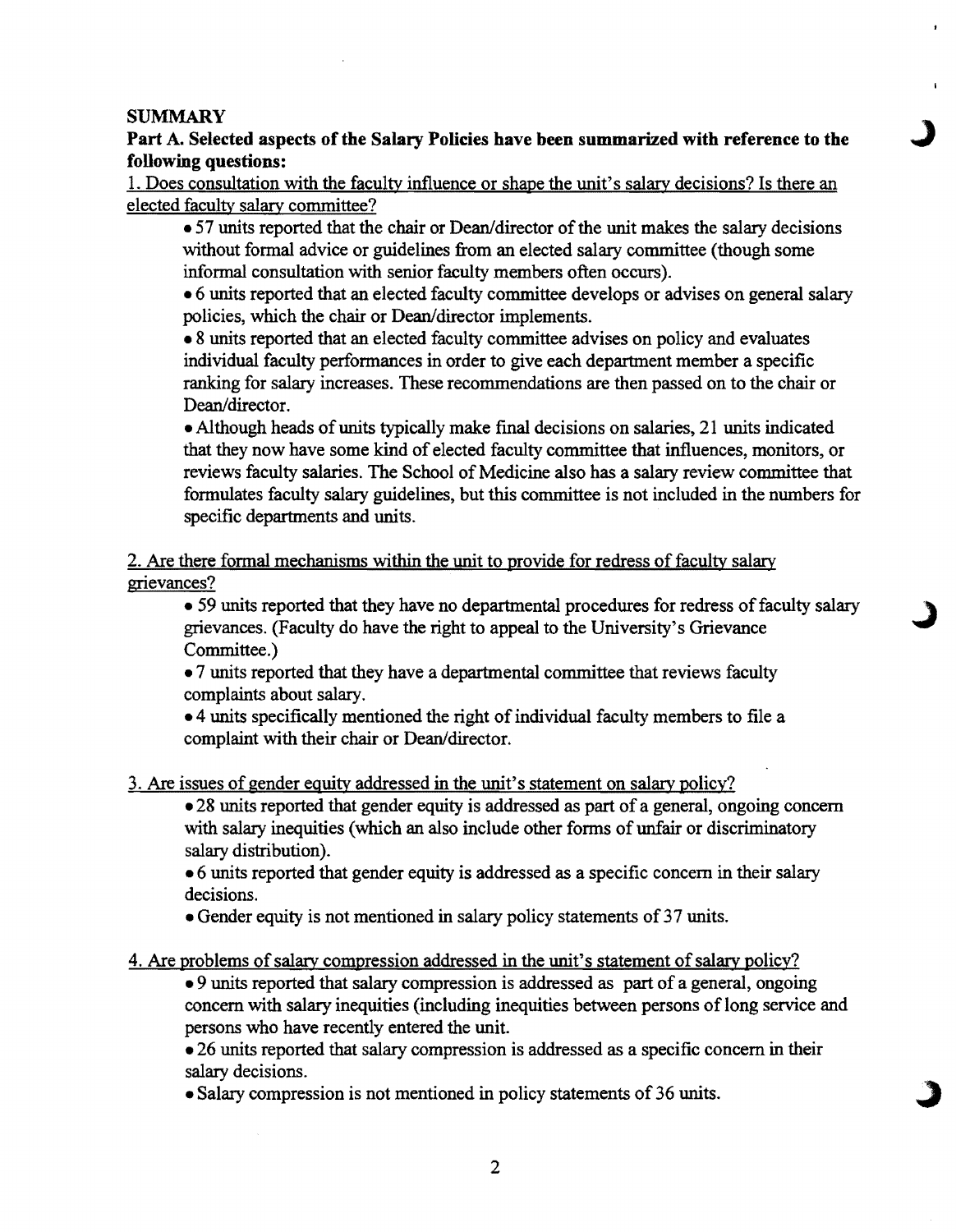### SUMMARY

Part A. Selected aspects of the Salary Policies have been summarized with reference to the following questions:

1. Does consultation with the faculty influence or shape the unit's salary decisions? Is there an elected faculty salary committee?

• 57 units reported that the chair or Dean/director of the unit makes the salary decisions without formal advice or guidelines from an elected salary committee (though some informal consultation with senior faculty members often occurs).

• 6 units reported that an elected faculty committee develops or advises on general salary policies, which the chair or Dean/director implements.

• 8 units reported that an elected faculty committee advises on policy and evaluates individual faculty performances in order to give each department member a specific ranking for salary increases. These recommendations are then passed on to the chair or Dean/director.

• Although heads of units typically make final decisions on salaries, 21 units indicated that they now have some kind of elected faculty committee that influences, monitors, or reviews faculty salaries. The School of Medicine also has a salary review committee that formulates faculty salary guidelines, but this committee is not included in the numbers for specific departments and units.

2. Are there formal mechanisms within the unit to provide for redress of faculty salary grievances?

• 59 units reported that they have no departmental procedures for redress of faculty salary grievances. (Faculty do have the right to appeal to the University's Grievance Committee.)

• 7 units reported that they have a departmental committee that reviews faculty complaints about salary.

• 4 units specifically mentioned the right of individual faculty members to file a complaint with their chair or Dean/director.

3. Are issues of gender equity addressed in the unit's statement on salary policy?

• 28 units reported that gender equity is addressed as part of a general, ongoing concern with salary inequities (which an also include other forms of unfair or discriminatory salary distribution).

• 6 units reported that gender equity is addressed as a specific concern in their salary decisions.

• Gender equity is not mentioned in salary policy statements of37 units.

4. Are problems of salary compression addressed in the unit's statement of salary policy?

• 9 units reported that salary compression is addressed as part of a general, ongoing concern with salary inequities (including inequities between persons of long service and persons who have recently entered the unit.

• 26 units reported that salary compression is addressed as a specific concern in their salary decisions.

• Salary compression is not mentioned in policy statements of 36 units.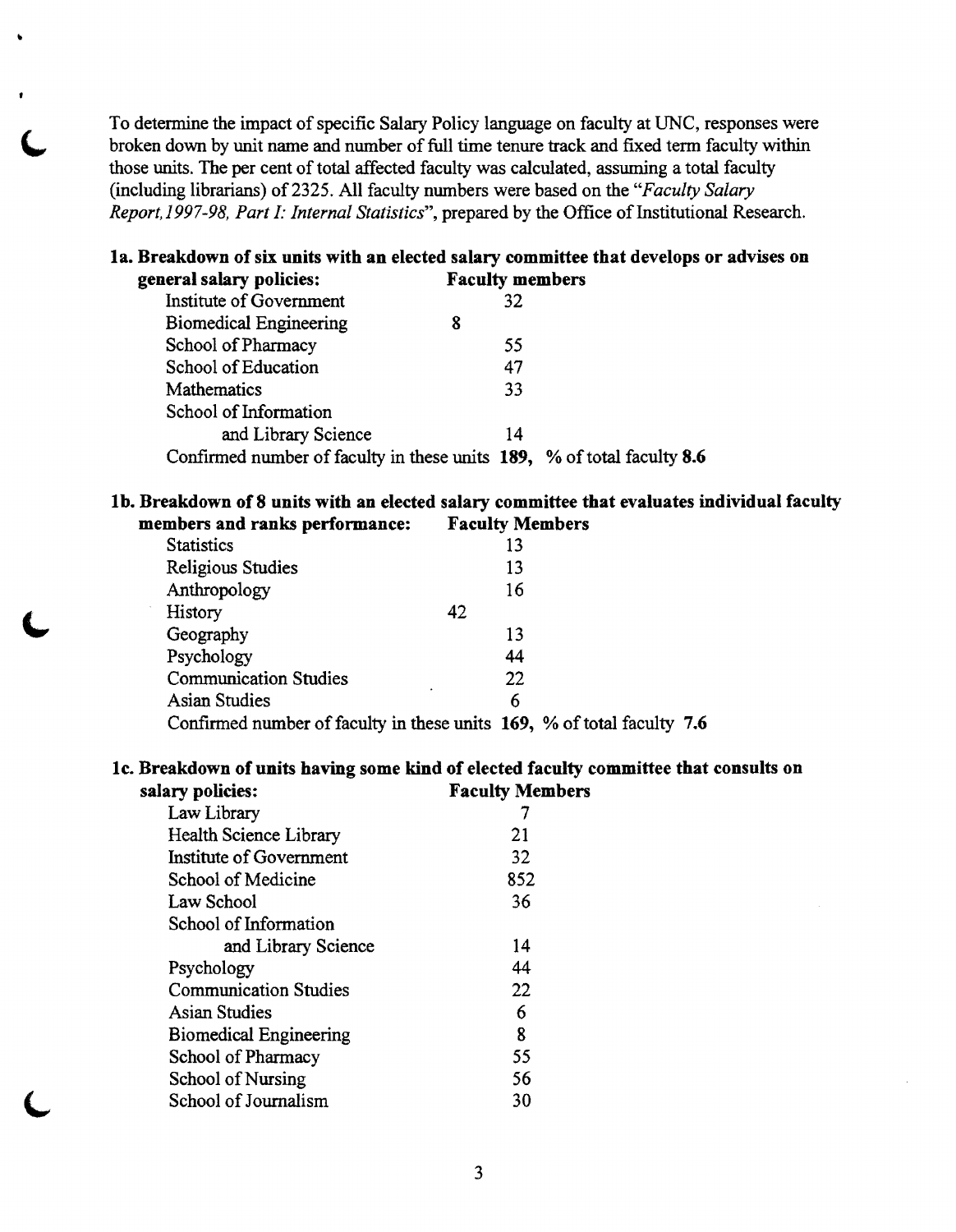To determine the impact of specific Salary Policy language on faculty at UNC, responses were broken down by unit name and number of full time tenure track and fixed term faculty within those units. The per cent of total affected faculty was calculated, assuming a total faculty (including librarians) of2325. All faculty numbers were based on the *"Faculty Salary Report, 1997-98, Part I: Internal Statistics"*, prepared by the Office of Institutional Research.

#### la. Breakdown of six units with an elected salary committee that develops or advises on general salary policies: Faculty members

| Institute of Government                                                | 32 |  |
|------------------------------------------------------------------------|----|--|
|                                                                        |    |  |
| <b>Biomedical Engineering</b>                                          | 8  |  |
| School of Pharmacy                                                     | 55 |  |
| School of Education                                                    | 47 |  |
| Mathematics                                                            | 33 |  |
| School of Information                                                  |    |  |
| and Library Science                                                    | 14 |  |
| Confirmed number of faculty in these units 189, % of total faculty 8.6 |    |  |

#### lb. Breakdown of8 units with an elected salary committee that evaluates individual faculty members and ranks performance: Faculty Members

| <b>Statistics</b>                                                      |    | 13 |  |  |
|------------------------------------------------------------------------|----|----|--|--|
| <b>Religious Studies</b>                                               |    | 13 |  |  |
| Anthropology                                                           |    | 16 |  |  |
| History                                                                | 42 |    |  |  |
| Geography                                                              |    | 13 |  |  |
| Psychology                                                             |    | 44 |  |  |
| <b>Communication Studies</b>                                           |    | 22 |  |  |
| <b>Asian Studies</b>                                                   |    | 6  |  |  |
| Confirmed number of faculty in these units 169, % of total faculty 7.6 |    |    |  |  |

#### Ie. Breakdown of units having some kind of elected faculty committee that consults on Faculty Members

| arv dolicies:                 | гасину мен |
|-------------------------------|------------|
| Law Library                   |            |
| Health Science Library        | 21         |
| Institute of Government       | 32         |
| School of Medicine            | 852        |
| Law School                    | 36         |
| School of Information         |            |
| and Library Science           | 14         |
| Psychology                    | 44         |
| <b>Communication Studies</b>  | 22         |
| Asian Studies                 | 6          |
| <b>Biomedical Engineering</b> | 8          |
| School of Pharmacy            | 55         |
| School of Nursing             | 56         |
| School of Journalism          | 30         |
|                               |            |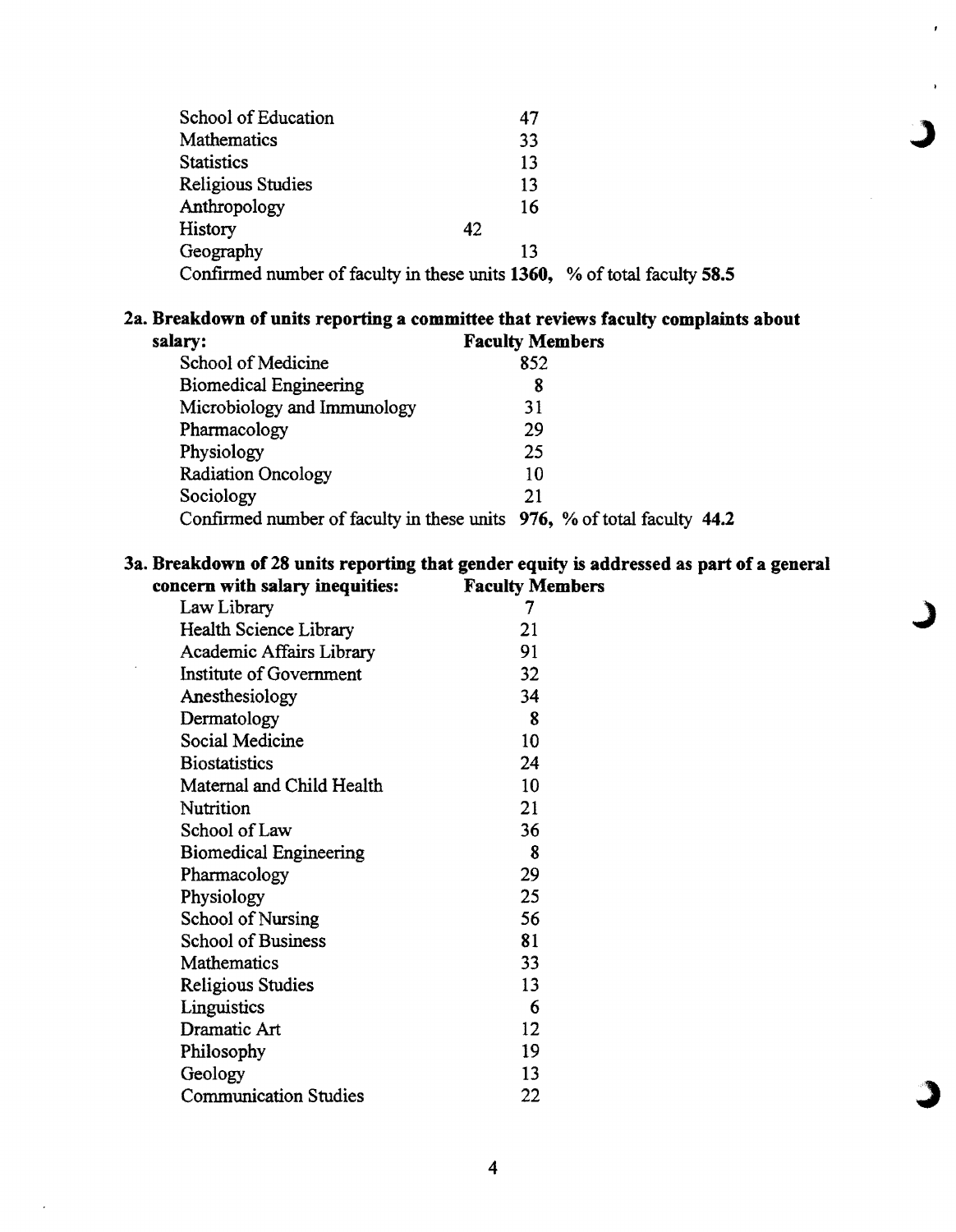| School of Education                                                      | 47 |  |
|--------------------------------------------------------------------------|----|--|
| Mathematics                                                              | 33 |  |
| <b>Statistics</b>                                                        | 13 |  |
| Religious Studies                                                        | 13 |  |
| Anthropology                                                             | 16 |  |
| History                                                                  | 42 |  |
| Geography                                                                | 13 |  |
| Confirmed number of faculty in these units 1360, % of total faculty 58.5 |    |  |

ł

# 2a. Breakdown of units reporting a committee that reviews faculty complaints about

| salary:                                                                 | <b>Faculty Members</b> |
|-------------------------------------------------------------------------|------------------------|
| School of Medicine                                                      | 852                    |
| <b>Biomedical Engineering</b>                                           | 8                      |
| Microbiology and Immunology                                             | 31                     |
| Pharmacology                                                            | 29                     |
| Physiology                                                              | 25                     |
| Radiation Oncology                                                      | 10                     |
| Sociology                                                               | 21                     |
| Confirmed number of faculty in these units 976, % of total faculty 44.2 |                        |

# 3a. Breakdown of 28 units reporting that gender equity is addressed as part of a general concern with salary inequities:

| 7  |
|----|
| 21 |
| 91 |
| 32 |
| 34 |
| 8  |
| 10 |
| 24 |
| 10 |
| 21 |
| 36 |
| 8  |
| 29 |
| 25 |
| 56 |
| 81 |
| 33 |
| 13 |
| 6  |
| 12 |
| 19 |
| 13 |
| 22 |
|    |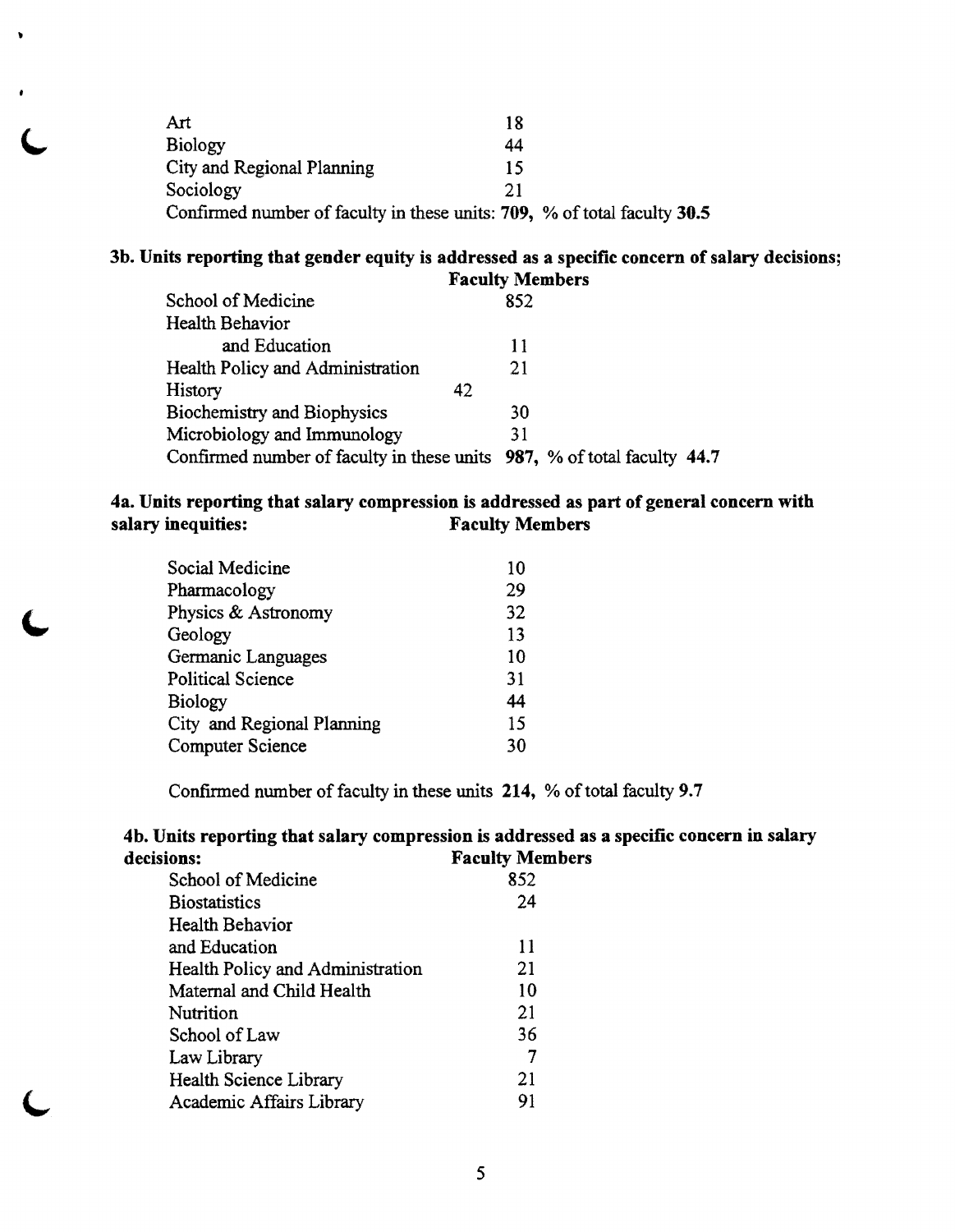| Art                                                                      | 18 |  |
|--------------------------------------------------------------------------|----|--|
| Biology                                                                  | 44 |  |
| City and Regional Planning                                               | 15 |  |
| Sociology                                                                | 21 |  |
| Confirmed number of faculty in these units: 709, % of total faculty 30.5 |    |  |

# 3b. Units reporting that gender equity is addressed as a specific concern of salary decisions;

|                                    | <b>Faculty Members</b>                                                  |
|------------------------------------|-------------------------------------------------------------------------|
| School of Medicine                 | 852                                                                     |
| Health Behavior                    |                                                                         |
| and Education                      | 11                                                                      |
| Health Policy and Administration   | 21                                                                      |
| History                            | 42                                                                      |
| <b>Biochemistry and Biophysics</b> | 30                                                                      |
| Microbiology and Immunology        | 31                                                                      |
|                                    | Confirmed number of faculty in these units 987, % of total faculty 44.7 |

## 4a. Units reporting that salary compression is addressed as part of general concern with salary inequities: Faculty Members

| Social Medicine            | 10 |
|----------------------------|----|
| Pharmacology               | 29 |
| Physics & Astronomy        | 32 |
| Geology                    | 13 |
| Germanic Languages         | 10 |
| <b>Political Science</b>   | 31 |
| <b>Biology</b>             | 44 |
| City and Regional Planning | 15 |
| <b>Computer Science</b>    | 30 |

Confirmed number of faculty in these units 214, % of total faculty 9.7

## 4b. Units reporting that salary compression is addressed as a specific concern in salary decisions: Faculty Members

| School of Medicine               | 852 |
|----------------------------------|-----|
| <b>Biostatistics</b>             | 24  |
| Health Behavior                  |     |
| and Education                    | 11  |
| Health Policy and Administration | 21  |
| Maternal and Child Health        | 10  |
| Nutrition                        | 21  |
| School of Law                    | 36  |
| Law Library                      |     |
| Health Science Library           | 21  |
| Academic Affairs Library         | 91  |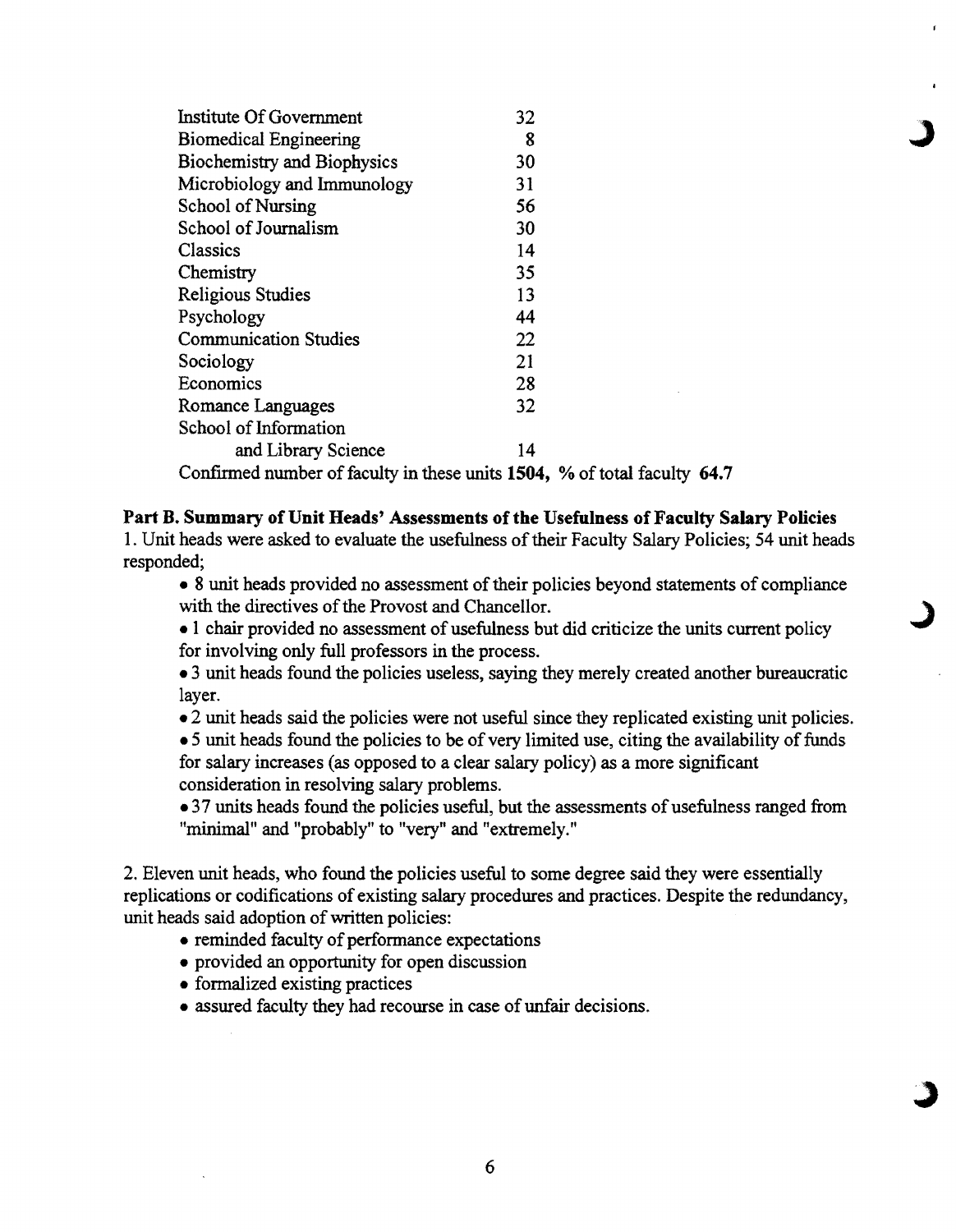| Institute Of Government                                                                                              | 32   |  |
|----------------------------------------------------------------------------------------------------------------------|------|--|
| <b>Biomedical Engineering</b>                                                                                        | 8    |  |
| Biochemistry and Biophysics                                                                                          | 30   |  |
| Microbiology and Immunology                                                                                          | 31   |  |
| <b>School of Nursing</b>                                                                                             | 56   |  |
| School of Journalism                                                                                                 | 30   |  |
| Classics                                                                                                             | 14   |  |
| Chemistry                                                                                                            | 35   |  |
| <b>Religious Studies</b>                                                                                             | 13   |  |
| Psychology                                                                                                           | 44   |  |
| <b>Communication Studies</b>                                                                                         | 22   |  |
| Sociology                                                                                                            | 21   |  |
| Economics                                                                                                            | 28   |  |
| Romance Languages                                                                                                    | 32   |  |
| School of Information                                                                                                |      |  |
| and Library Science                                                                                                  | 14   |  |
| $C_{\text{eff}}$ $C_{\text{max}}$ of arrange of $C_{\text{eff}}$ of $L_{\text{eff}}$ in the second on $H$ $\theta$ d | 0/10 |  |

Confirmed number of faculty in these units  $1504$ , % of total faculty 64.7

#### Part B. Summary of Unit Heads' Assessments of the Usefulness of Faculty Salary Policies

1. Unit heads were asked to evaluate the usefulness of their Faculty Salary Policies; 54 unit heads responded;

• 8 unit heads provided no assessment of their policies beyond statements of compliance with the directives of the Provost and Chancellor.

• 1 chair provided no assessment of usefulness but did criticize the units current policy for involving only full professors in the process.

• 3 unit heads found the policies useless, saying they merely created another bureaucratic layer.

• 2 unit heads said the policies were not useful since they replicated existing unit policies.

• 5 unit heads found the policies to be of very limited use, citing the availability of funds for salary increases (as opposed to a clear salary policy) as a more significant consideration in resolving salary problems.

• 37 units heads found the policies useful, but the assessments of usefulness ranged from "minimal" and "probably" to "very" and "extremely."

2. Eleven unit heads, who found the policies useful to some degree said they were essentially replications or codifications of existing salary procedures and practices. Despite the redundancy, unit heads said adoption of written policies:

- reminded faculty of performance expectations
- provided an opportunity for open discussion
- formalized existing practices
- assured faculty they had recourse in case of unfair decisions.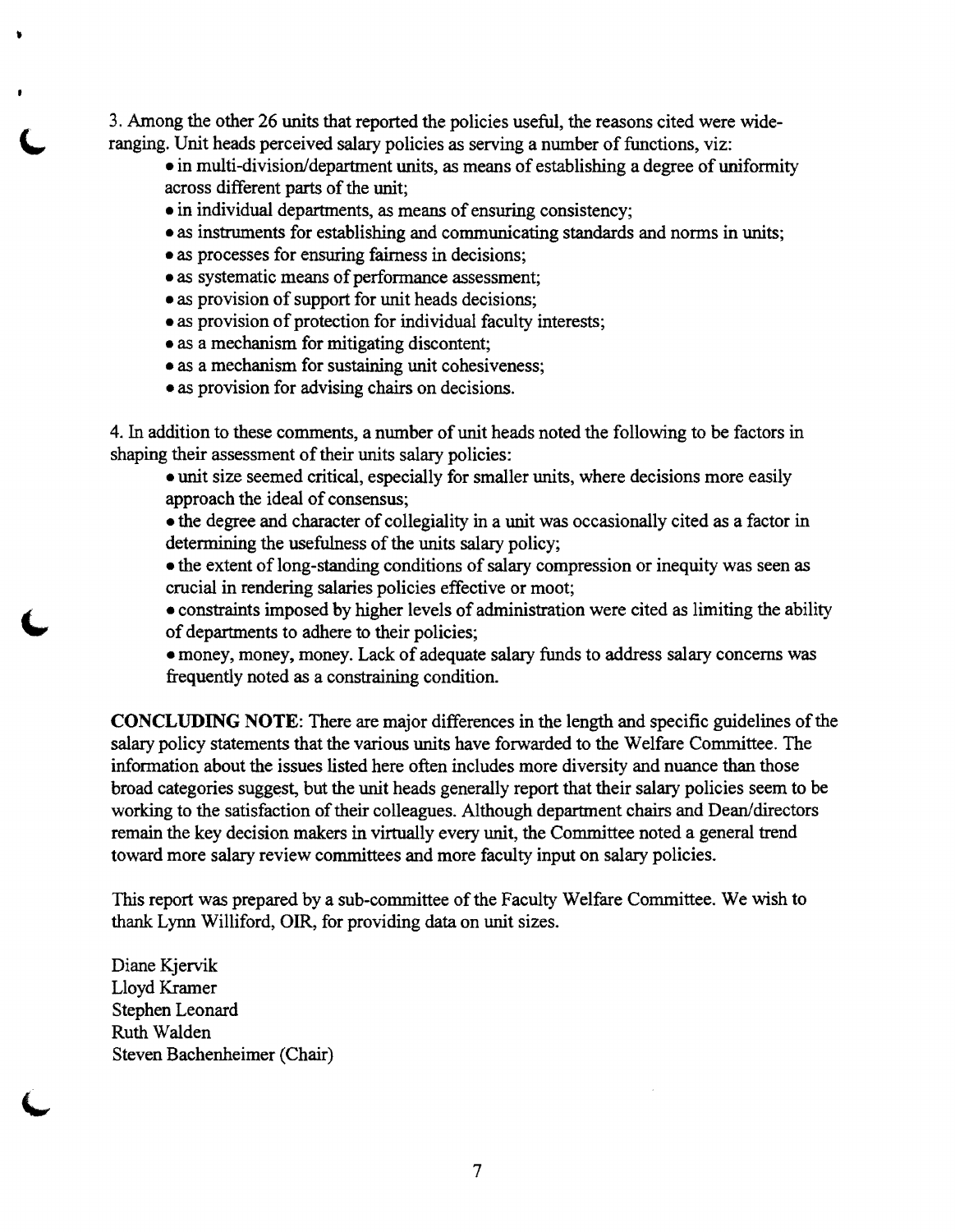3. Among the other 26 units that reported the policies useful, the reasons cited were wideranging. Unit heads perceived salary policies as serving a number of functions, viz:

- in multi-division/department units, as means of establishing a degree of uniformity across different parts of the unit;
- in individual departments, as means of ensuring consistency;
- as instruments for establishing and communicating standards and norms in units;
- as processes for ensuring fairness in decisions;
- as systematic means of performance assessment;
- as provision of support for unit heads decisions;
- as provision of protection for individual faculty interests;
- as a mechanism for mitigating discontent;
- as a mechanism for sustaining unit cohesiveness;
- as provision for advising chairs on decisions.

4. In addition to these comments, a number of unit heads noted the following to be factors in shaping their assessment of their units salary policies:

• unit size seemed critical, especially for smaller units, where decisions more easily approach the ideal of consensus;

• the degree and character of collegiality in a unit was occasionally cited as a factor in determining the usefulness of the units salary policy;

• the extent of long-standing conditions of salary compression or inequity was seen as crucial in rendering salaries policies effective or moot;

• constraints imposed by higher levels of administration were cited as limiting the ability of departments to adhere to their policies;

• money, money, money. Lack of adequate salary funds to address salary concerns was frequently noted as a constraining condition.

**CONCLUDING NOTE:** There are major differences in the length and specific guidelines of the salary policy statements that the various units have forwarded to the Welfare Committee. The information about the issues listed here often includes more diversity and nuance than those broad categories suggest, but the unit heads generally report that their salary policies seem to be working to the satisfaction of their colleagues. Although department chairs and Dean/directors remain the key decision makers in virtually every unit, the Committee noted a general trend toward more salary review committees and more faculty input on salary policies.

This report was prepared by a sub-committee of the Faculty Welfare Committee. We wish to thank Lynn Williford, OIR, for providing data on unit sizes.

Diane Kjervik Lloyd Kramer Stephen Leonard Ruth Walden Steven Bachenheimer (Chair)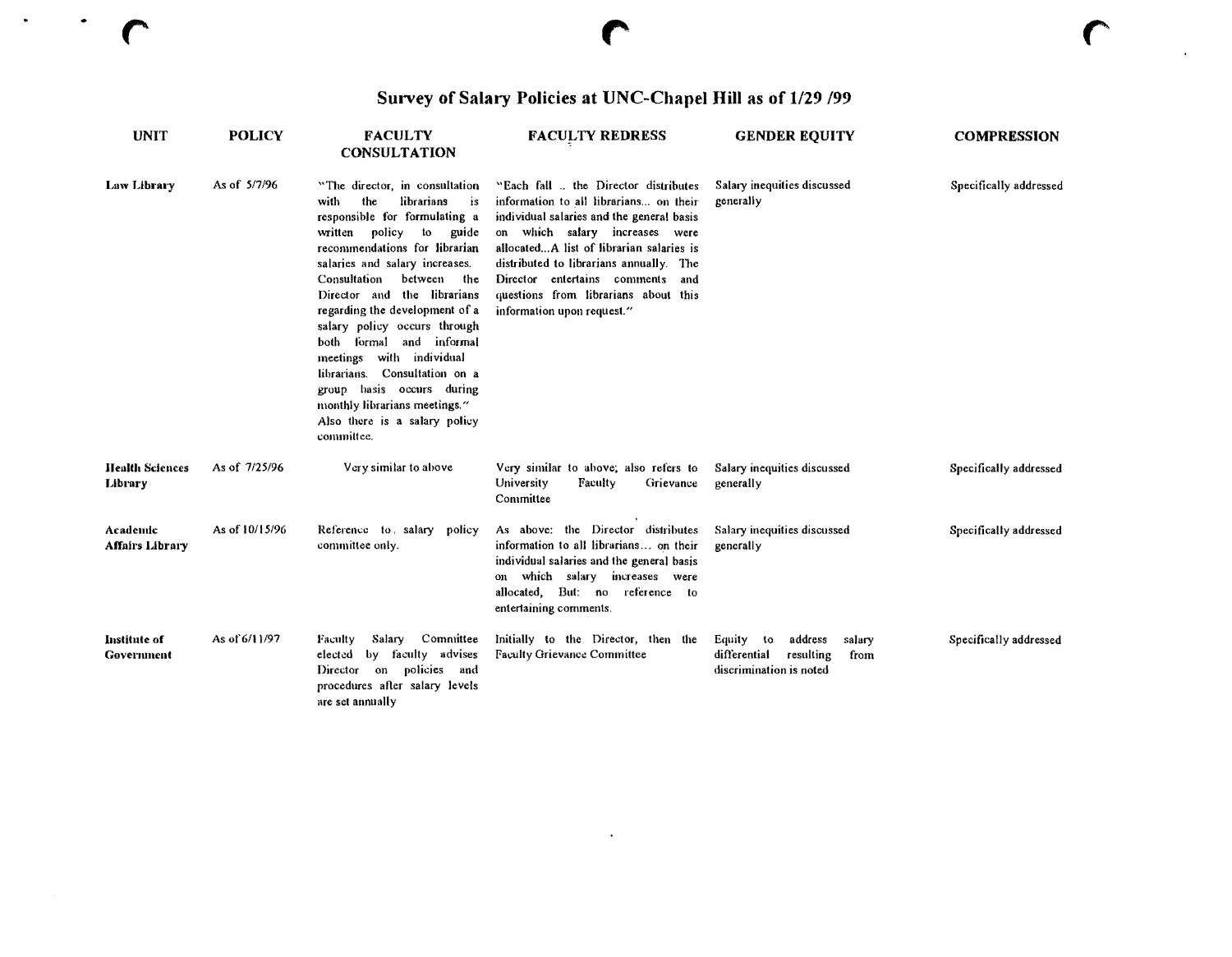# Survey of Salary Policies at UNC-Chapel Hill as of 1/29 199

 $\overline{r}$ 

 $\bullet$ 

 $\bullet$ 

| <b>UNIT</b>                        | <b>POLICY</b>  | <b>FACULTY</b><br><b>CONSULTATION</b>                                                                                                                                                                                                                                                                                                                                                                                                                                                                                                                 | <b>FACULTY REDRESS</b>                                                                                                                                                                                                                                                                                                                                            | <b>GENDER EQUITY</b>                                                                           | <b>COMPRESSION</b>     |
|------------------------------------|----------------|-------------------------------------------------------------------------------------------------------------------------------------------------------------------------------------------------------------------------------------------------------------------------------------------------------------------------------------------------------------------------------------------------------------------------------------------------------------------------------------------------------------------------------------------------------|-------------------------------------------------------------------------------------------------------------------------------------------------------------------------------------------------------------------------------------------------------------------------------------------------------------------------------------------------------------------|------------------------------------------------------------------------------------------------|------------------------|
| Law Library                        | As of 5/7/96   | "The director, in consultation<br>the<br>librarians<br>with<br>÷s<br>responsible for formulating a<br>written<br>policy<br>to<br>guide<br>recommendations for librarian<br>salaries and salary increases.<br>Consultation<br>between<br>the<br>Director and the librarians<br>regarding the development of a<br>salary policy occurs through<br>formal and informal<br>both<br>meetings with individual<br>librarians. Consultation on a<br>group basis occurs during<br>monthly librarians meetings."<br>Also there is a salary policy<br>committee. | "Each fall  the Director distributes<br>information to all librarians on their<br>individual salaries and the general basis<br>on which salary increases were<br>allocatedA list of librarian salaries is<br>distributed to librarians annually. The<br>Director entertains comments<br>and<br>questions from librarians about this<br>information upon request." | Salary inequities discussed<br>generally                                                       | Specifically addressed |
| <b>Health Sciences</b><br>Library  | As of 7/25/96  | Very similar to above                                                                                                                                                                                                                                                                                                                                                                                                                                                                                                                                 | Very similar to above; also refers to<br>University<br>Faculty<br>Grievance<br>Committee                                                                                                                                                                                                                                                                          | Salary inequities discussed<br>generally                                                       | Specifically addressed |
| Academic<br><b>Affairs Library</b> | As of 10/15/96 | Reference to salary<br>policy<br>committee only.                                                                                                                                                                                                                                                                                                                                                                                                                                                                                                      | As above; the Director distributes<br>information to all librarians on their<br>individual salaries and the general basis<br>on which salary increases were<br>allocated, But: no reference to<br>entertaining comments.                                                                                                                                          | Salary inequities discussed<br>generally                                                       | Specifically addressed |
| Institute of<br>Government         | As of 6/11/97  | Committee<br>Salary<br><b>Faculty</b><br>by faculty advises<br>elected<br>on policies and<br>Director<br>procedures after salary levels<br>are set annually                                                                                                                                                                                                                                                                                                                                                                                           | Initially to the Director, then the<br>Faculty Grievance Committee                                                                                                                                                                                                                                                                                                | Equity to<br>address<br>salary<br>differential<br>resulting<br>from<br>discrimination is noted | Specifically addressed |

 $\langle \cdot \rangle$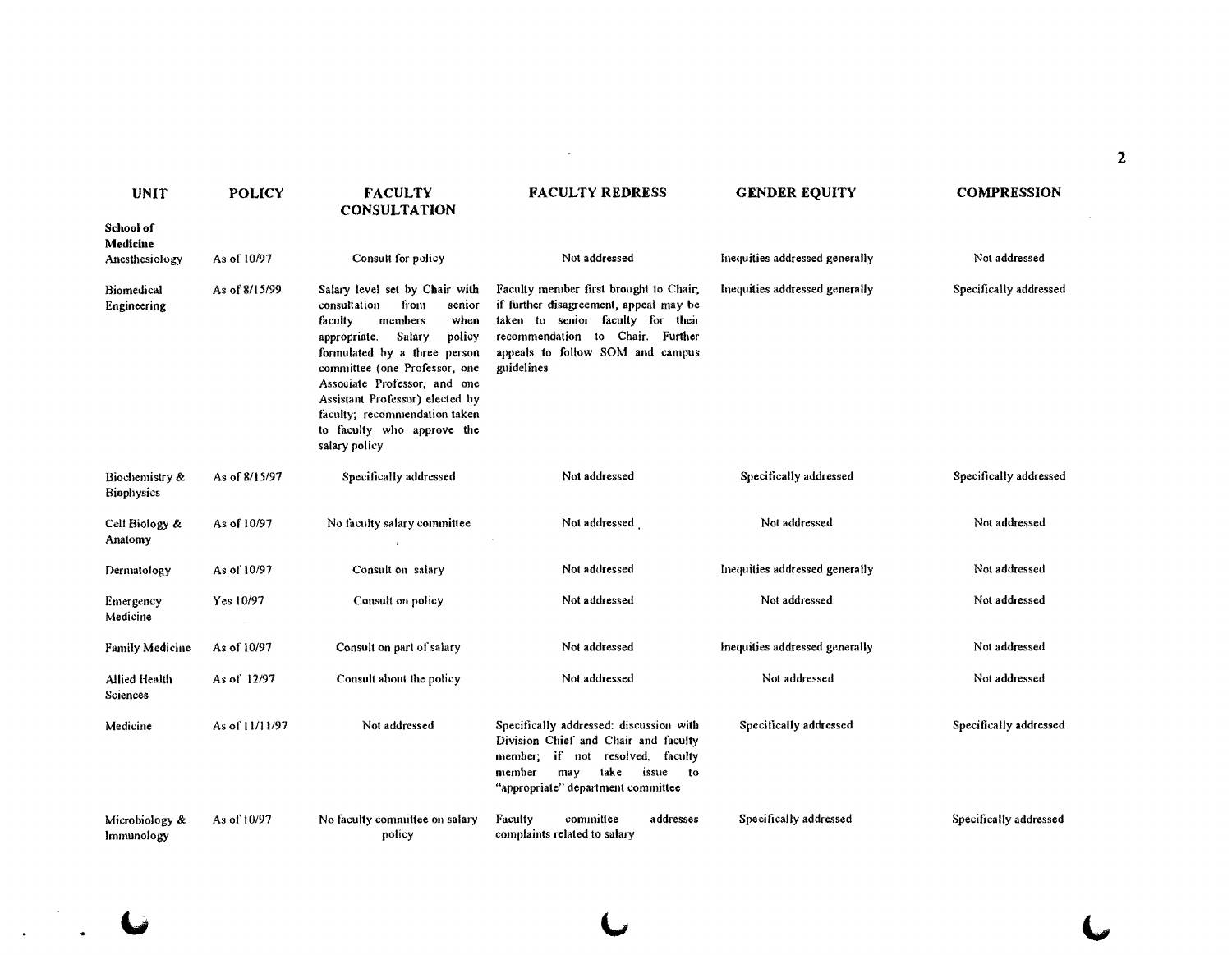|                                         |                |                                                                                                                                                                                                                                                                                                                                                        |                                                                                                                                                                                                             |                                |                        | 2 |
|-----------------------------------------|----------------|--------------------------------------------------------------------------------------------------------------------------------------------------------------------------------------------------------------------------------------------------------------------------------------------------------------------------------------------------------|-------------------------------------------------------------------------------------------------------------------------------------------------------------------------------------------------------------|--------------------------------|------------------------|---|
| <b>UNIT</b>                             | <b>POLICY</b>  | <b>FACULTY</b><br><b>CONSULTATION</b>                                                                                                                                                                                                                                                                                                                  | <b>FACULTY REDRESS</b>                                                                                                                                                                                      | <b>GENDER EQUITY</b>           | <b>COMPRESSION</b>     |   |
| School of<br>Medicine<br>Anesthesiology | As of 10/97    | Consult for policy                                                                                                                                                                                                                                                                                                                                     | Not addressed                                                                                                                                                                                               | Inequities addressed generally | Not addressed          |   |
| <b>Biomedical</b><br>Engineering        | As of 8/15/99  | Salary level set by Chair with<br>consultation<br>from<br>senior<br>members<br>faculty<br>when<br>Salary<br>policy<br>appropriate.<br>formulated by a three person<br>committee (one Professor, one<br>Associate Professor, and one<br>Assistant Professor) elected by<br>faculty; recommendation taken<br>to faculty who approve the<br>salary policy | Faculty member first brought to Chair,<br>if further disagreement, appeal may be<br>taken to senior faculty for their<br>recommendation to Chair. Further<br>appeals to follow SOM and campus<br>guidelines | Inequities addressed generally | Specifically addressed |   |
| Biochemistry &<br><b>Biophysics</b>     | As of 8/15/97  | Specifically addressed                                                                                                                                                                                                                                                                                                                                 | Not addressed                                                                                                                                                                                               | Specifically addressed         | Specifically addressed |   |
| Cell Biology &<br>Anatomy               | As of 10/97    | No faculty salary committee                                                                                                                                                                                                                                                                                                                            | Not addressed                                                                                                                                                                                               | Not addressed                  | Not addressed          |   |
| Dermatology                             | As of 10/97    | Consult on salary                                                                                                                                                                                                                                                                                                                                      | Not addressed                                                                                                                                                                                               | Inequities addressed generally | Not addressed          |   |
| Emergency<br>Medicine                   | Yes 10/97      | Consult on policy                                                                                                                                                                                                                                                                                                                                      | Not addressed                                                                                                                                                                                               | Not addressed                  | Not addressed          |   |
| <b>Family Medicine</b>                  | As of 10/97    | Consult on part of salary                                                                                                                                                                                                                                                                                                                              | Not addressed                                                                                                                                                                                               | Inequities addressed generally | Not addressed          |   |
| Allied Health<br>Sciences               | As of 12/97    | Consult about the policy                                                                                                                                                                                                                                                                                                                               | Not addressed                                                                                                                                                                                               | Not addressed                  | Not addressed          |   |
| Medicine                                | As of 11/11/97 | Not addressed                                                                                                                                                                                                                                                                                                                                          | Specifically addressed: discussion with<br>Division Chief and Chair and faculty<br>member; if not resolved, faculty<br>take<br>member<br>may<br>issue to<br>"appropriate" department committee              | Specifically addressed         | Specifically addressed |   |
| Microbiology &<br>Immunology            | As of 10/97    | No faculty committee on salary<br>policy                                                                                                                                                                                                                                                                                                               | committee<br>addresses<br>Faculty<br>complaints related to salary                                                                                                                                           | Specifically addressed         | Specifically addressed |   |

 $\label{eq:2} \begin{array}{c} \mathcal{L}_{\text{max}}(\mathcal{L}_{\text{max}}) \rightarrow \mathcal{L}_{\text{max}}(\mathcal{L}_{\text{max}}) \end{array}$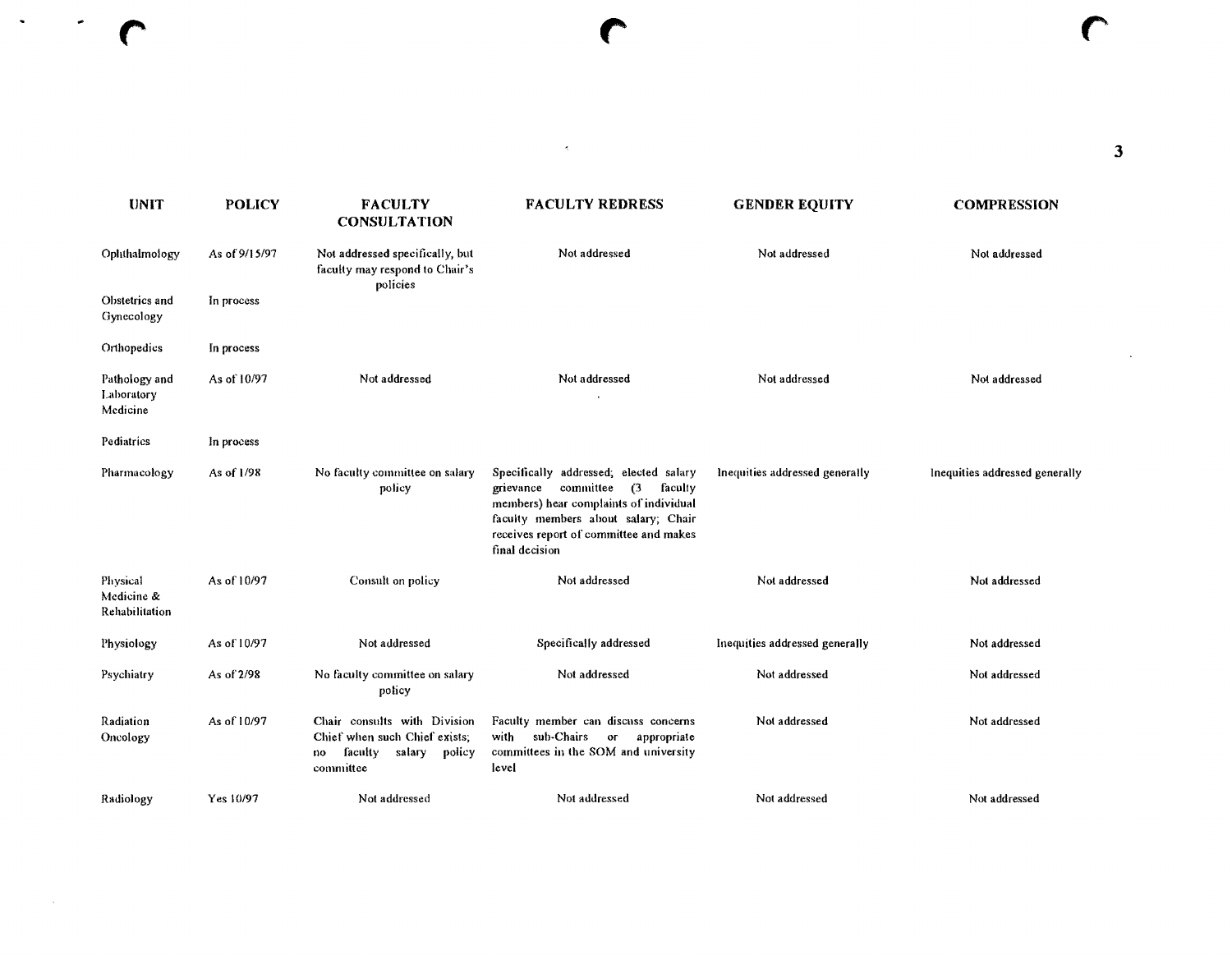| <b>UNIT</b>                              | <b>POLICY</b> | <b>FACULTY</b><br><b>CONSULTATION</b>                                                                           | <b>FACULTY REDRESS</b>                                                                                                                                                                                                   | <b>GENDER EQUITY</b>           | <b>COMPRESSION</b>             |  |
|------------------------------------------|---------------|-----------------------------------------------------------------------------------------------------------------|--------------------------------------------------------------------------------------------------------------------------------------------------------------------------------------------------------------------------|--------------------------------|--------------------------------|--|
| Ophthalmology                            | As of 9/15/97 | Not addressed specifically, but<br>faculty may respond to Chair's<br>policies                                   | Not addressed                                                                                                                                                                                                            | Not addressed                  | Not addressed                  |  |
| Obstetrics and<br>Gynecology             | In process    |                                                                                                                 |                                                                                                                                                                                                                          |                                |                                |  |
| Orthopedics                              | In process    |                                                                                                                 |                                                                                                                                                                                                                          |                                |                                |  |
| Pathology and<br>Laboratory<br>Medicine  | As of 10/97   | Not addressed                                                                                                   | Not addressed                                                                                                                                                                                                            | Not addressed                  | Not addressed                  |  |
| Pediatrics                               | In process    |                                                                                                                 |                                                                                                                                                                                                                          |                                |                                |  |
| Pharmacology                             | As of 1/98    | No faculty committee on salary<br>policy                                                                        | Specifically addressed; elected salary<br>grievance committee (3<br>faculty<br>members) hear complaints of individual<br>faculty members about salary; Chair<br>receives report of committee and makes<br>final decision | Inequities addressed generally | Inequities addressed generally |  |
| Physical<br>Medicine &<br>Rehabilitation | As of 10/97   | Consult on policy                                                                                               | Not addressed                                                                                                                                                                                                            | Not addressed                  | Not addressed                  |  |
| Physiology                               | As of 10/97   | Not addressed                                                                                                   | Specifically addressed                                                                                                                                                                                                   | Inequities addressed generally | Not addressed                  |  |
| Psychiatry                               | As of 2/98    | No faculty committee on salary<br>policy                                                                        | Not addressed                                                                                                                                                                                                            | Not addressed                  | Not addressed                  |  |
| Radiation<br>Oncology                    | As of 10/97   | Chair consults with Division<br>Chief when such Chief exists;<br>faculty<br>policy<br>salary<br>no<br>committee | Faculty member can discuss concerns<br>sub-Chairs<br>with<br>or<br>appropriate<br>committees in the SOM and university<br>level                                                                                          | Not addressed                  | Not addressed                  |  |
| Radiology                                | Yes 10/97     | Not addressed                                                                                                   | Not addressed                                                                                                                                                                                                            | Not addressed                  | Not addressed                  |  |

 $\sim$ 

(' (' *r*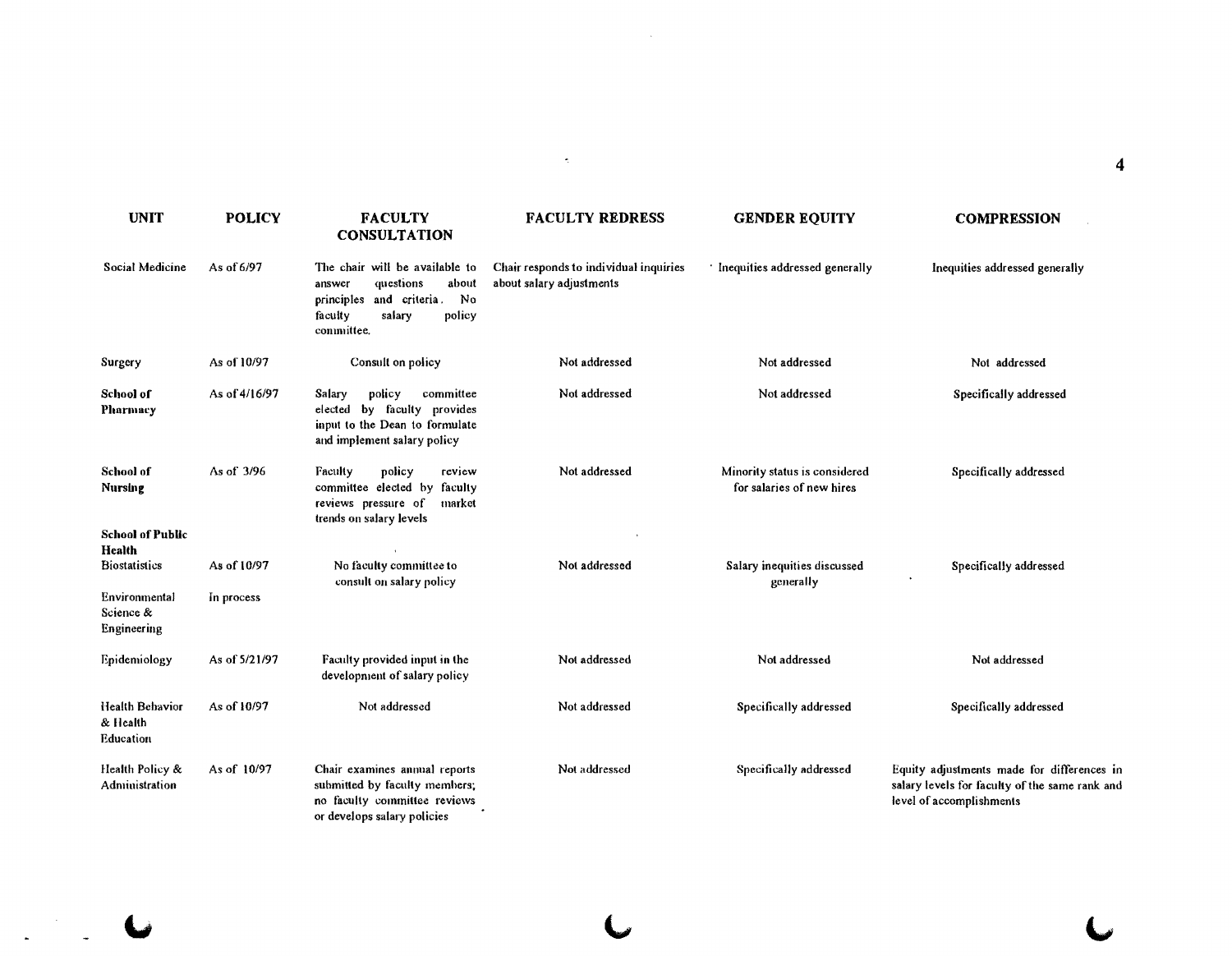| <b>UNIT</b>                               | <b>POLICY</b> | <b>FACULTY</b><br><b>CONSULTATION</b>                                                                                                            | <b>FACULTY REDRESS</b>                                             | <b>GENDER EQUITY</b>                                       | <b>COMPRESSION</b>                                                                                                       |
|-------------------------------------------|---------------|--------------------------------------------------------------------------------------------------------------------------------------------------|--------------------------------------------------------------------|------------------------------------------------------------|--------------------------------------------------------------------------------------------------------------------------|
| Social Medicine                           | As of 6/97    | The chair will be available to<br>questions<br>about<br>answer<br>No<br>and criteria.<br>principles<br>faculty<br>salary<br>policy<br>committee. | Chair responds to individual inquiries<br>about salary adjustments | Inequities addressed generally                             | Inequities addressed generally                                                                                           |
| Surgery                                   | As of 10/97   | Consult on policy                                                                                                                                | Not addressed                                                      | Not addressed                                              | Not addressed                                                                                                            |
| School of<br><b>Pharmacy</b>              | As of 4/16/97 | committee<br>Salarv<br>policy<br>elected by faculty provides<br>input to the Dean to formulate<br>and implement salary policy                    | Not addressed                                                      | Not addressed                                              | Specifically addressed                                                                                                   |
| <b>School of</b><br><b>Nursing</b>        | As of 3/96    | policy<br>Faculty<br>review<br>committee elected by faculty<br>reviews pressure of<br>market<br>trends on salary levels                          | Not addressed                                                      | Minority status is considered<br>for salaries of new hires | Specifically addressed                                                                                                   |
| <b>School of Public</b>                   |               |                                                                                                                                                  |                                                                    |                                                            |                                                                                                                          |
| Health<br><b>Biostatistics</b>            | As of 10/97   | No faculty committee to<br>consult on salary policy                                                                                              | Not addressed                                                      | Salary inequities discussed<br>generally                   | Specifically addressed                                                                                                   |
| Environmental<br>Science &<br>Engineering | In process    |                                                                                                                                                  |                                                                    |                                                            |                                                                                                                          |
| Epidemiology                              | As of 5/21/97 | Faculty provided input in the<br>development of salary policy                                                                                    | Not addressed                                                      | Not addressed                                              | Not addressed                                                                                                            |
| Health Behavior<br>& Health<br>Education  | As of 10/97   | Not addressed                                                                                                                                    | Not addressed                                                      | Specifically addressed                                     | Specifically addressed                                                                                                   |
| Health Policy &<br>Administration         | As of 10/97   | Chair examines annual reports<br>submitted by faculty members;<br>no faculty committee reviews<br>or develops salary policies                    | Not addressed                                                      | Specifically addressed                                     | Equity adjustments made for differences in<br>salary levels for faculty of the same rank and<br>level of accomplishments |

 $\mathcal{L}^{\text{max}}_{\text{max}}$ 

 $\mathcal{L}^{\text{max}}_{\text{max}}$  , where

 $\overline{a}$ 

 $\ddot{\phantom{0}}$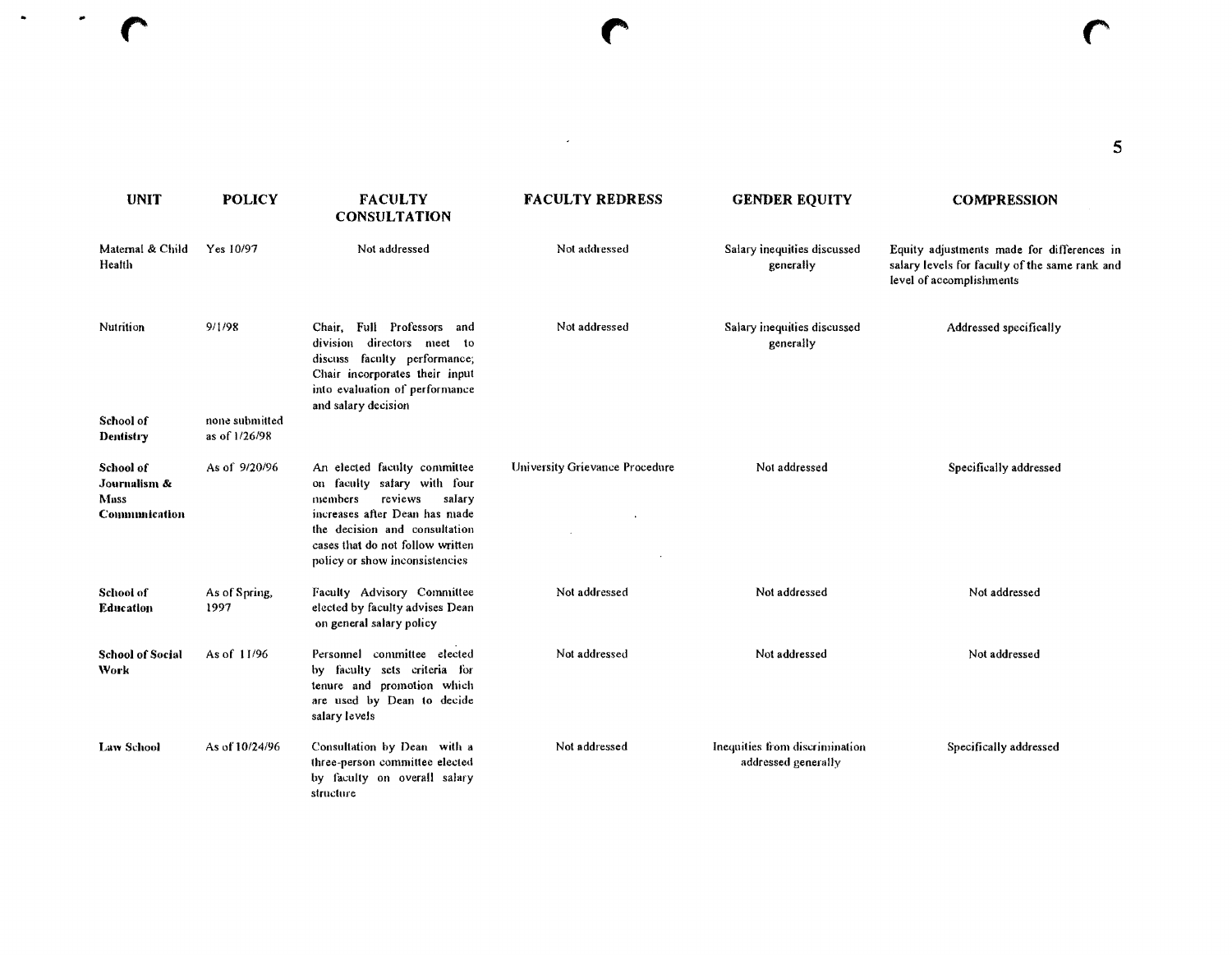| <b>UNIT</b>                                        | <b>POLICY</b>                   | <b>FACULTY</b><br><b>CONSULTATION</b>                                                                                                                                                                                               | <b>FACULTY REDRESS</b>         | <b>GENDER EQUITY</b>                                  | <b>COMPRESSION</b>                                                                                                       |
|----------------------------------------------------|---------------------------------|-------------------------------------------------------------------------------------------------------------------------------------------------------------------------------------------------------------------------------------|--------------------------------|-------------------------------------------------------|--------------------------------------------------------------------------------------------------------------------------|
| Maternal & Child<br>Health                         | Yes 10/97                       | Not addressed                                                                                                                                                                                                                       | Not addressed                  | Salary inequities discussed<br>generally              | Equity adjustments made for differences in<br>salary levels for faculty of the same rank and<br>level of accomplishments |
| Nutrition                                          | 9/1/98                          | Chair, Full Professors and<br>division directors meet<br>10<br>discuss faculty performance;<br>Chair incorporates their input<br>into evaluation of performance<br>and salary decision                                              | Not addressed                  | Salary inequities discussed<br>generally              | Addressed specifically                                                                                                   |
| School of<br>Dentistry                             | none submitted<br>as of 1/26/98 |                                                                                                                                                                                                                                     |                                |                                                       |                                                                                                                          |
| School of<br>Journalism &<br>Mass<br>Communication | As of 9/20/96                   | An elected faculty committee<br>on faculty safary with four<br>reviews<br>members<br>salary<br>increases after Dean has made<br>the decision and consultation<br>cases that do not follow written<br>policy or show inconsistencies | University Grievance Procedure | Not addressed                                         | Specifically addressed                                                                                                   |
| School of<br><b>Education</b>                      | As of Spring,<br>1997           | Faculty Advisory Committee<br>elected by faculty advises Dean<br>on general salary policy                                                                                                                                           | Not addressed                  | Not addressed                                         | Not addressed                                                                                                            |
| <b>School of Social</b><br>Work                    | As of 11/96                     | Personnel committee elected<br>by faculty sets criteria for<br>tenure and promotion which<br>are used by Dean to decide<br>salary levels                                                                                            | Not addressed                  | Not addressed                                         | Not addressed                                                                                                            |
| <b>Law School</b>                                  | As of 10/24/96                  | Consultation by Dean with a<br>three-person committee elected<br>by faculty on overall salary<br>structure                                                                                                                          | Not addressed                  | Inequities from discrimination<br>addressed generally | Specifically addressed                                                                                                   |

(' r r

 $\label{eq:2.1} \frac{1}{2} \sum_{i=1}^n \frac{1}{2} \sum_{j=1}^n \frac{1}{2} \sum_{j=1}^n \frac{1}{2} \sum_{j=1}^n \frac{1}{2} \sum_{j=1}^n \frac{1}{2} \sum_{j=1}^n \frac{1}{2} \sum_{j=1}^n \frac{1}{2} \sum_{j=1}^n \frac{1}{2} \sum_{j=1}^n \frac{1}{2} \sum_{j=1}^n \frac{1}{2} \sum_{j=1}^n \frac{1}{2} \sum_{j=1}^n \frac{1}{2} \sum_{j=1}^n \frac{$ 

 $\bullet$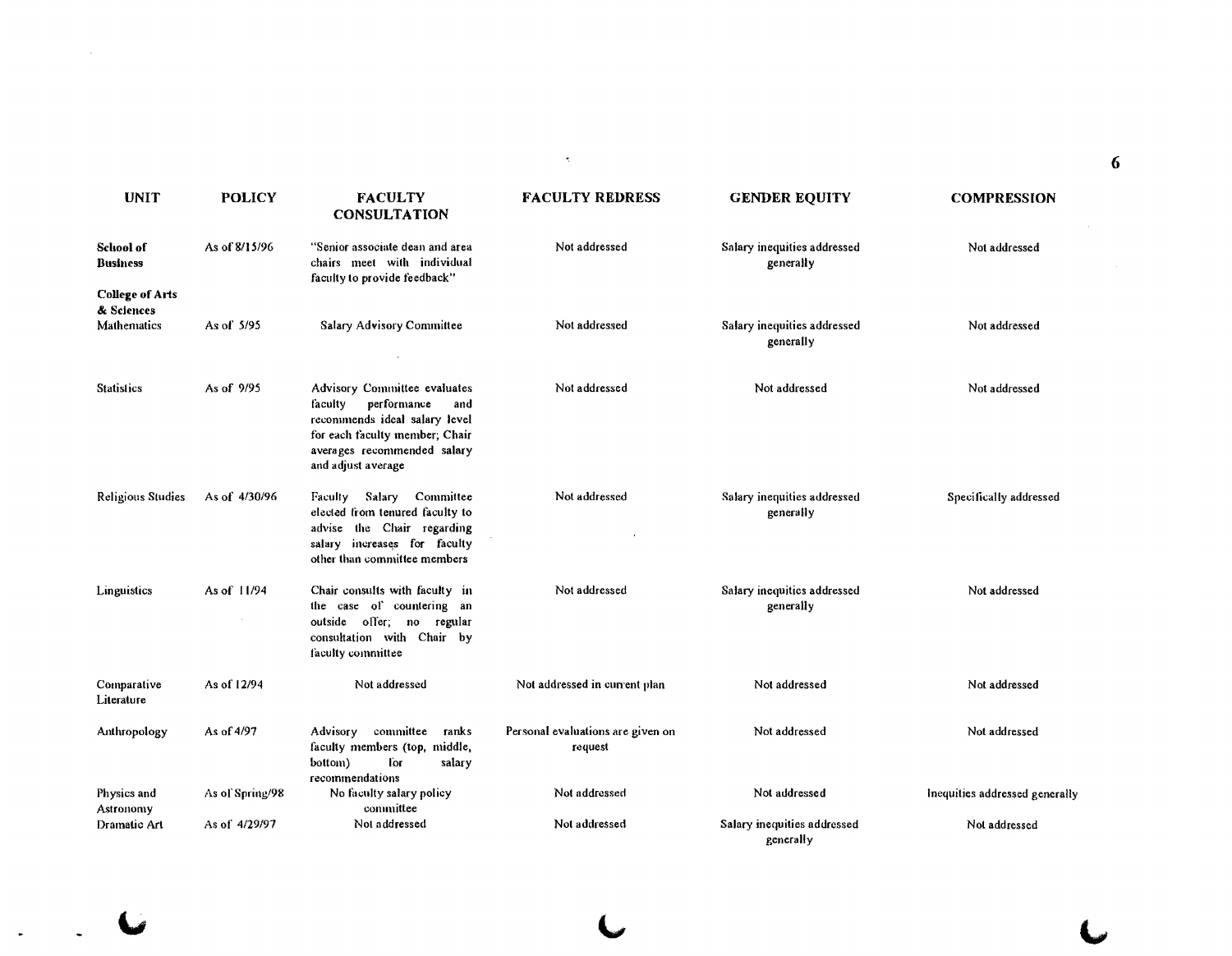| <b>UNIT</b>                          | <b>POLICY</b>   | <b>FACULTY</b><br><b>CONSULTATION</b>                                                                                                                                                 | <b>FACULTY REDRESS</b>                       | <b>GENDER EQUITY</b>                     | <b>COMPRESSION</b>             |
|--------------------------------------|-----------------|---------------------------------------------------------------------------------------------------------------------------------------------------------------------------------------|----------------------------------------------|------------------------------------------|--------------------------------|
| <b>School of</b><br><b>Business</b>  | As of 8/15/96   | "Senior associate dean and area<br>chairs meet with individual<br>faculty to provide feedback"                                                                                        | Not addressed                                | Salary inequities addressed<br>generally | Not addressed                  |
| <b>College of Arts</b><br>& Sciences |                 |                                                                                                                                                                                       |                                              |                                          |                                |
| Mathematics                          | As of 5/95      | Salary Advisory Committee                                                                                                                                                             | Not addressed                                | Salary inequities addressed<br>generally | Not addressed                  |
| <b>Statistics</b>                    | As of 9/95      | Advisory Committee evaluates<br>performance<br>faculty<br>and<br>recommends ideal salary level<br>for each faculty member, Chair<br>averages recommended salary<br>and adjust average | Not addressed                                | Not addressed                            | Not addressed                  |
| Religious Studies                    | As of 4/30/96   | Faculty Salary Committee<br>elected from tenured faculty to<br>advise the Chair regarding<br>salary increases for faculty<br>other than committee members                             | Not addressed                                | Salary inequities addressed<br>generally | Specifically addressed         |
| Linguistics                          | As of 11/94     | Chair consults with faculty in<br>the case of countering an<br>outside offer; no regular<br>consultation with Chair by<br>faculty committee                                           | Not addressed                                | Salary inequities addressed<br>generally | Not addressed                  |
| Comparative<br>Literature            | As of 12/94     | Not addressed                                                                                                                                                                         | Not addressed in current plan                | Not addressed                            | Not addressed                  |
| Anthropology                         | As of 4/97      | Advisory committee<br>ranks<br>faculty members (top, middle,<br>bottom)<br><b>Tor</b><br>salary<br>recommendations                                                                    | Personal evaluations are given on<br>request | Not addressed                            | Not addressed                  |
| Physics and<br>Astronomy             | As of Spring/98 | No faculty salary policy<br>committee                                                                                                                                                 | Not addressed                                | Not addressed                            | Inequities addressed generally |
| Dramatic Art                         | As of 4/29/97   | Not addressed                                                                                                                                                                         | Not addressed                                | Salary inequities addressed<br>generally | Not addressed                  |

6

 $\overline{C}$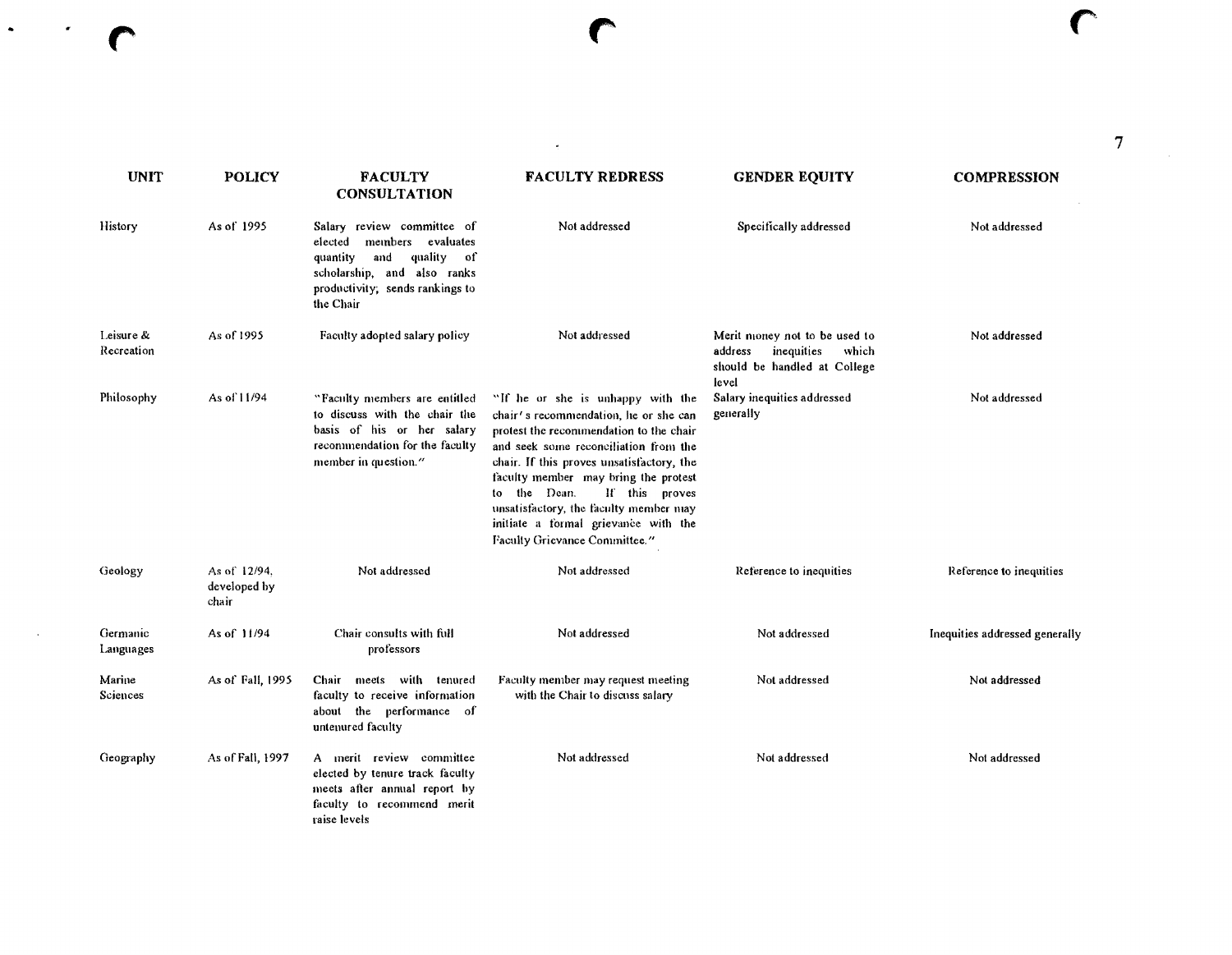$\frac{1}{2}$  .

 $\sigma_{\rm eff}$ 

 $\mathcal{L}^{\text{max}}_{\text{max}}$  , where  $\mathcal{L}^{\text{max}}_{\text{max}}$ 

| <b>UNIT</b>             | <b>POLICY</b>                         | <b>FACULTY</b><br><b>CONSULTATION</b>                                                                                                                                           | <b>FACULTY REDRESS</b>                                                                                                                                                                                                                                                                                                                                                                                   | <b>GENDER EQUITY</b>                                                                                     | <b>COMPRESSION</b>             |
|-------------------------|---------------------------------------|---------------------------------------------------------------------------------------------------------------------------------------------------------------------------------|----------------------------------------------------------------------------------------------------------------------------------------------------------------------------------------------------------------------------------------------------------------------------------------------------------------------------------------------------------------------------------------------------------|----------------------------------------------------------------------------------------------------------|--------------------------------|
| History                 | As of 1995                            | Salary review committee of<br>members evaluates<br>elected<br>quality<br>and<br>quantity<br>– of<br>scholarship, and also ranks<br>productivity; sends rankings to<br>the Chair | Not addressed                                                                                                                                                                                                                                                                                                                                                                                            | Specifically addressed                                                                                   | Not addressed                  |
| Leisure &<br>Recreation | As of 1995                            | Faculty adopted salary policy                                                                                                                                                   | Not addressed                                                                                                                                                                                                                                                                                                                                                                                            | Merit money not to be used to<br>inequities<br>address<br>which<br>should be handled at College<br>level | Not addressed                  |
| Philosophy              | As of 11/94                           | "Faculty members are entitled<br>to discuss with the chair the<br>basis of his or her salary<br>recommendation for the faculty<br>member in question."                          | "If he or she is unhappy with the<br>chair's recommendation, he or she can<br>protest the recommendation to the chair<br>and seek some reconciliation from the<br>chair. If this proves unsatisfactory, the<br>faculty member may bring the protest<br>If this proves<br>to the Dean.<br>unsatisfactory, the faculty member may<br>initiate a formal grievance with the<br>Faculty Grievance Committee." | Salary inequities addressed<br>generally                                                                 | Not addressed                  |
| Geology                 | As of 12/94.<br>developed by<br>chair | Not addressed                                                                                                                                                                   | Not addressed                                                                                                                                                                                                                                                                                                                                                                                            | Reference to inequities                                                                                  | Reference to inequities        |
| Germanic<br>Languages   | As of 11/94                           | Chair consults with full<br>professors                                                                                                                                          | Not addressed                                                                                                                                                                                                                                                                                                                                                                                            | Not addressed                                                                                            | Inequities addressed generally |
| Marine<br>Sciences      | As of Fall, 1995                      | Chair meets with tenured<br>faculty to receive information<br>about the performance of<br>untenured faculty                                                                     | Faculty member may request meeting<br>with the Chair to discuss salary                                                                                                                                                                                                                                                                                                                                   | Not addressed                                                                                            | Not addressed                  |
| Geography               | As of Fall, 1997                      | A merit review committee<br>elected by tenure track faculty<br>meets after annual report by<br>faculty to recommend merit<br>raise levels                                       | Not addressed                                                                                                                                                                                                                                                                                                                                                                                            | Not addressed                                                                                            | Not addressed                  |

 $\label{eq:2.1} \frac{1}{\sqrt{2}}\left(\frac{1}{\sqrt{2}}\right)^{2} \left(\frac{1}{\sqrt{2}}\right)^{2} \left(\frac{1}{\sqrt{2}}\right)^{2} \left(\frac{1}{\sqrt{2}}\right)^{2} \left(\frac{1}{\sqrt{2}}\right)^{2} \left(\frac{1}{\sqrt{2}}\right)^{2} \left(\frac{1}{\sqrt{2}}\right)^{2} \left(\frac{1}{\sqrt{2}}\right)^{2} \left(\frac{1}{\sqrt{2}}\right)^{2} \left(\frac{1}{\sqrt{2}}\right)^{2} \left(\frac{1}{\sqrt{2}}\right)^{2} \left(\$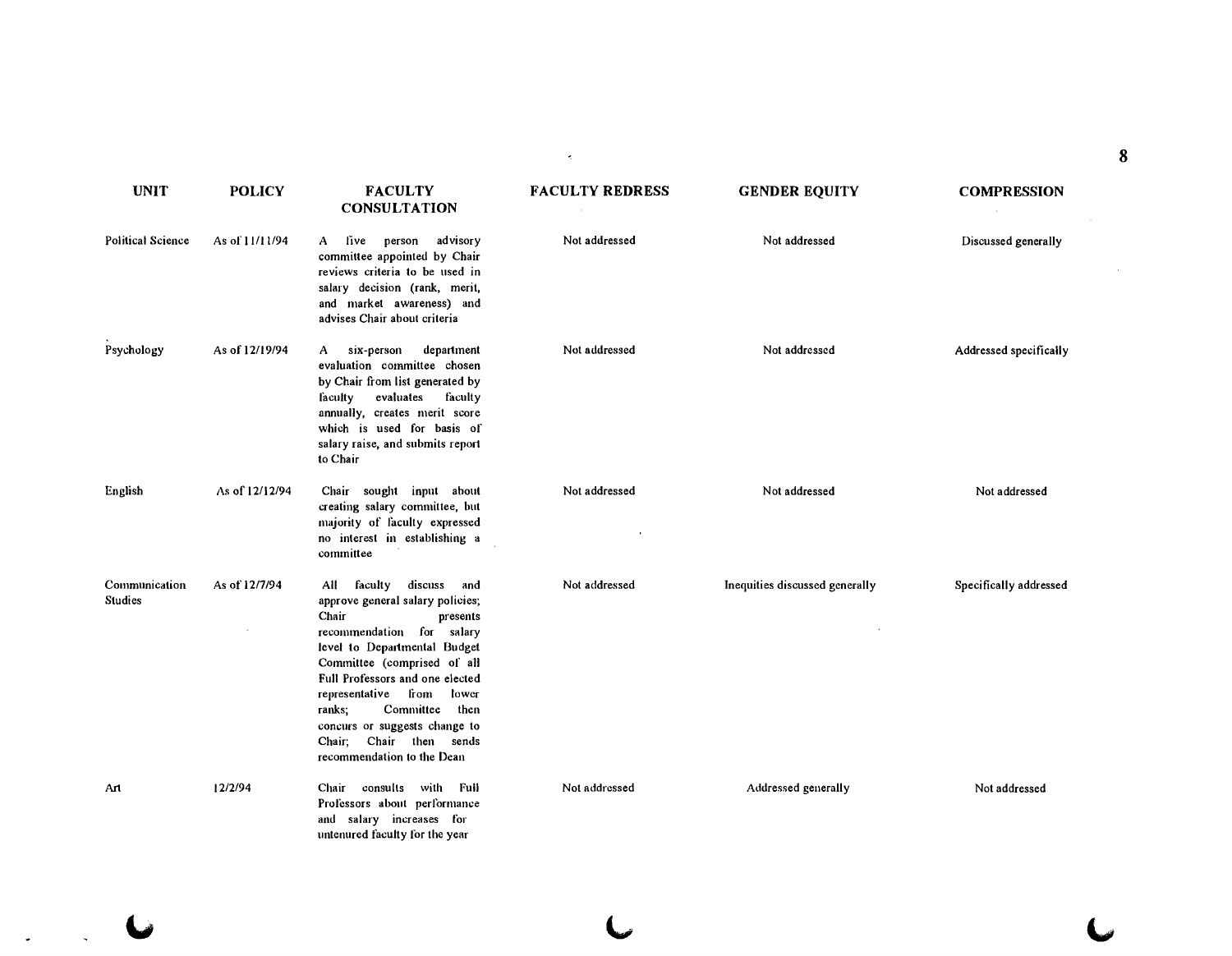|                          |                |                                                                                                                                                                                                                                                                                                                                                                       | ÷.                     |                                |                        | 8 |
|--------------------------|----------------|-----------------------------------------------------------------------------------------------------------------------------------------------------------------------------------------------------------------------------------------------------------------------------------------------------------------------------------------------------------------------|------------------------|--------------------------------|------------------------|---|
| <b>UNIT</b>              | <b>POLICY</b>  | <b>FACULTY</b><br><b>CONSULTATION</b>                                                                                                                                                                                                                                                                                                                                 | <b>FACULTY REDRESS</b> | <b>GENDER EQUITY</b>           | <b>COMPRESSION</b>     |   |
| <b>Political Science</b> | As of 11/11/94 | live person advisory<br>A<br>committee appointed by Chair<br>reviews criteria to be used in<br>salary decision (rank, merit,<br>and market awareness) and<br>advises Chair about criteria                                                                                                                                                                             | Not addressed          | Not addressed                  | Discussed generally    |   |
| Psychology               | As of 12/19/94 | six-person<br>department<br>A –<br>evaluation committee chosen<br>by Chair from list generated by<br>evaluates<br>faculty<br>faculty<br>annually, creates merit score<br>which is used for basis of<br>salary raise, and submits report<br>to Chair                                                                                                                   | Not addressed          | Not addressed                  | Addressed specifically |   |
| English                  | As of 12/12/94 | Chair sought input about<br>creating salary committee, but<br>majority of faculty expressed<br>no interest in establishing a<br>committee                                                                                                                                                                                                                             | Not addressed          | Not addressed                  | Not addressed          |   |
| Communication<br>Studies | As of 12/7/94  | All faculty<br>discuss and<br>approve general salary policies;<br>Chair<br>presents<br>recommendation for salary<br>level to Departmental Budget<br>Committee (comprised of all<br>Full Professors and one elected<br>representative from lower<br>Committee then<br>ranks;<br>concurs or suggests change to<br>Chair; Chair then sends<br>recommendation to the Dean | Not addressed          | Inequities discussed generally | Specifically addressed |   |
| Art                      | 12/2/94        | Chair consults with Full<br>Professors about performance<br>and salary increases for<br>untenured faculty for the year                                                                                                                                                                                                                                                | Not addressed          | Addressed generally            | Not addressed          |   |

 $\ddot{\phantom{a}}$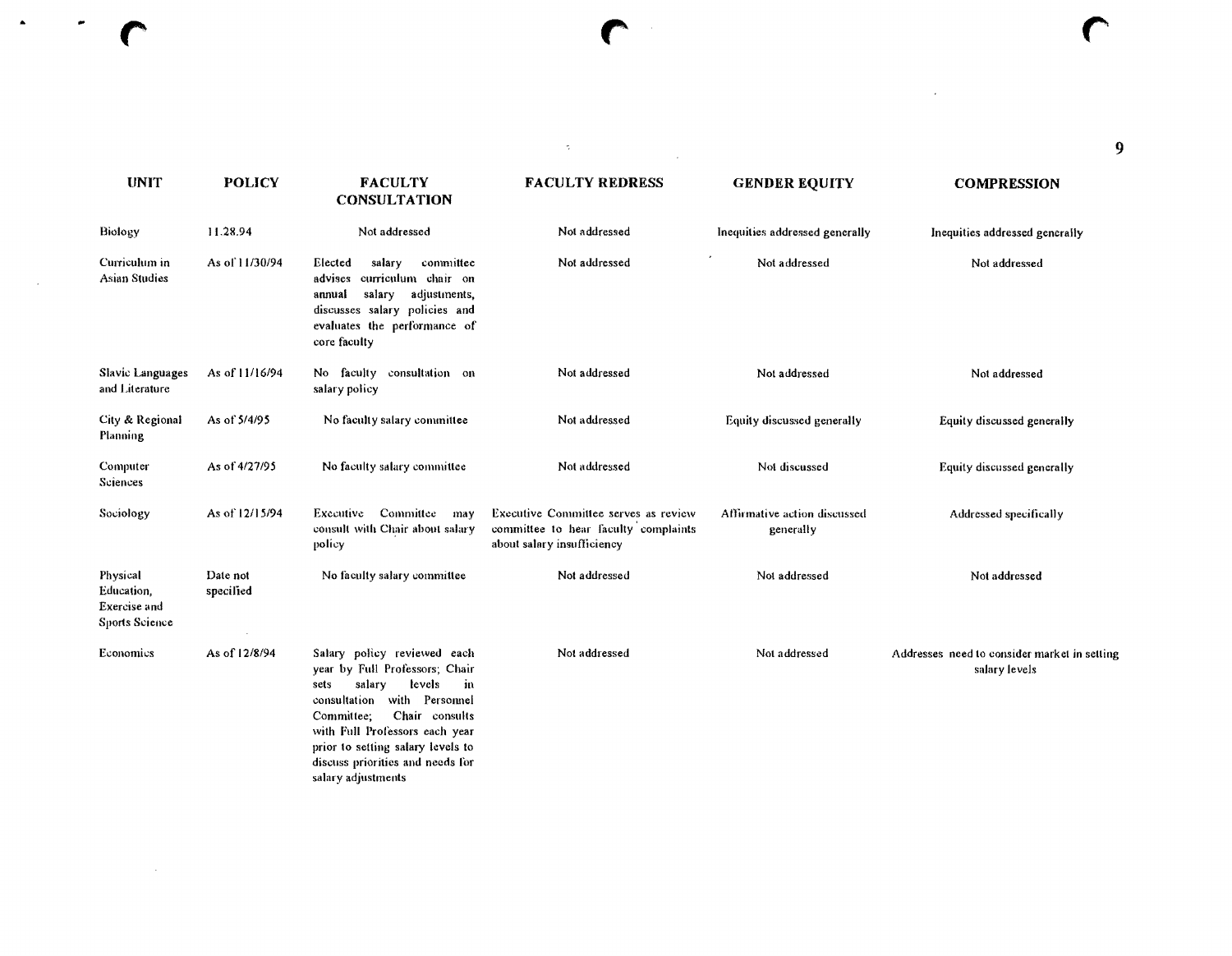| 'ULTY<br><b>FACULTY REDRESS</b><br><b>GENDER EQUITY</b><br><b>COMPR</b> |
|-------------------------------------------------------------------------|

*r* r r

 $\blacktriangle$ 

 $\bullet$ 

 $\sim$ 

consultation with Personnel Committee; Chair consults with Full Professors each year prior to setting salary levels to discuss priorities and needs for

salary adjustments

| <b>UNIT</b>                                              | <b>POLICY</b>         | <b>FACULTY</b><br><b>CONSULTATION</b>                                                                                                                                                 | <b>FACULTY REDRESS</b>                                                                                     | <b>GENDER EQUITY</b>                      | <b>COMPRESSION</b>                                            |
|----------------------------------------------------------|-----------------------|---------------------------------------------------------------------------------------------------------------------------------------------------------------------------------------|------------------------------------------------------------------------------------------------------------|-------------------------------------------|---------------------------------------------------------------|
| Biology                                                  | 11.28.94              | Not addressed                                                                                                                                                                         | Not addressed                                                                                              | Inequities addressed generally            | Inequities addressed generally                                |
| Curriculum in<br><b>Asian Studies</b>                    | As of 11/30/94        | committee<br>Elected<br>salary<br>curriculum chair on<br>advises<br>salary<br>adjustments,<br>annual<br>discusses salary policies and<br>evaluates the performance of<br>core faculty | Not addressed                                                                                              | Not addressed                             | Not addressed                                                 |
| Slavic Languages<br>and Literature                       | As of 11/16/94        | No faculty consultation on<br>salary policy                                                                                                                                           | Not addressed                                                                                              | Not addressed                             | Not addressed                                                 |
| City & Regional<br>Planning                              | As of 5/4/95          | No faculty salary committee                                                                                                                                                           | Not addressed                                                                                              | Equity discussed generally                | Equity discussed generally                                    |
| Computer<br>Sciences                                     | As of 4/27/95         | No faculty salary committee                                                                                                                                                           | Not addressed                                                                                              | Not discussed                             | Equity discussed generally                                    |
| Sociology                                                | As of 12/15/94        | Committee<br>Executive<br>may<br>consult with Chair about salary<br>policy                                                                                                            | Executive Committee serves as review<br>committee to hear faculty complaints<br>about salary insufficiency | Affirmative action discussed<br>generally | Addressed specifically                                        |
| Physical<br>Education,<br>Exercise and<br>Sports Science | Date not<br>specified | No faculty salary committee                                                                                                                                                           | Not addressed                                                                                              | Not addressed                             | Not addressed                                                 |
| Economics                                                | As of 12/8/94         | Salary policy reviewed each<br>year by Full Professors; Chair<br>salary<br>levels<br>in<br>sets                                                                                       | Not addressed                                                                                              | Not addressed                             | Addresses need to consider market in setting<br>salary levels |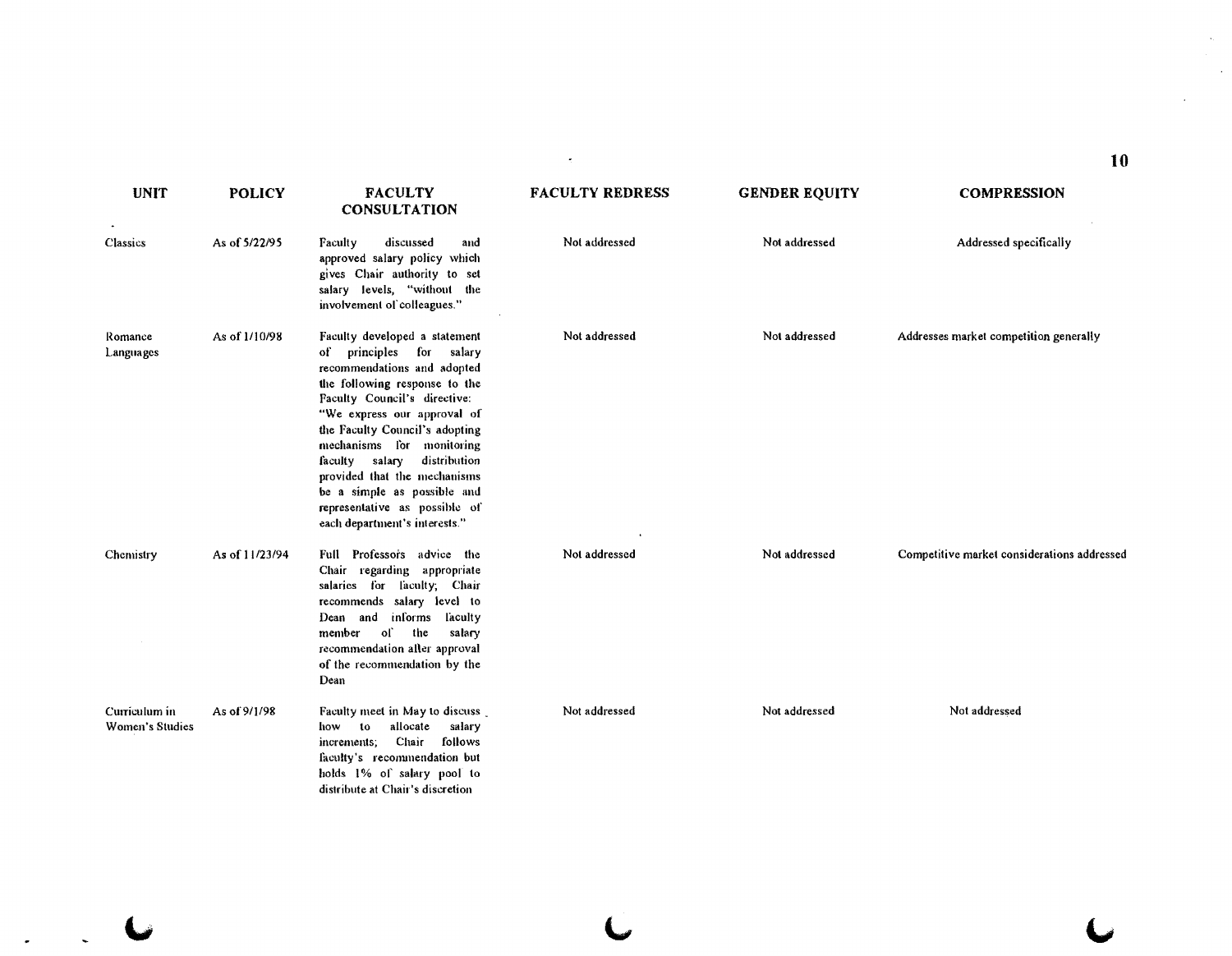| <b>UNIT</b>                      | <b>POLICY</b>  | <b>FACULTY</b><br><b>CONSULTATION</b>                                                                                                                                                                                                                                                                                                                                                                                      | <b>FACULTY REDRESS</b> | <b>GENDER EQUITY</b> | <b>COMPRESSION</b>                          |
|----------------------------------|----------------|----------------------------------------------------------------------------------------------------------------------------------------------------------------------------------------------------------------------------------------------------------------------------------------------------------------------------------------------------------------------------------------------------------------------------|------------------------|----------------------|---------------------------------------------|
| Classics                         | As of 5/22/95  | Faculty<br>discussed<br>and<br>approved salary policy which<br>gives Chair authority to set<br>salary levels, "without the<br>involvement of colleagues."                                                                                                                                                                                                                                                                  | Not addressed          | Not addressed        | Addressed specifically                      |
| Romance<br>Languages             | As of 1/10/98  | Faculty developed a statement<br>of principles for salary<br>recommendations and adopted<br>the following response to the<br>Faculty Council's directive:<br>"We express our approval of<br>the Faculty Council's adopting<br>mechanisms for monitoring<br>distribution<br>faculty salary<br>provided that the mechanisms<br>be a simple as possible and<br>representative as possible of<br>each department's interests." | Not addressed          | Not addressed        | Addresses market competition generally      |
| Chemistry                        | As of 11/23/94 | Full Professors advice the<br>Chair regarding appropriate<br>salaries for laculty; Chair<br>recommends salary level to<br>and informs faculty<br>Dean<br>-of<br>the<br>member<br>salary<br>recommendation aller approval<br>of the recommendation by the<br>Dean                                                                                                                                                           | Not addressed          | Not addressed        | Competitive market considerations addressed |
| Curriculum in<br>Women's Studies | As of 9/1/98   | Faculty meet in May to discuss<br>allocate<br>salary<br>10<br>how<br>Chair follows<br>increments;<br>faculty's recommendation but<br>holds 1% of salary pool to<br>distribute at Chair's discretion                                                                                                                                                                                                                        | Not addressed          | Not addressed        | Not addressed                               |

 $\sigma_{\rm c}$ 

 $\begin{array}{ccc} \iota & \iota & \iota \end{array}$ 

 $\ddot{\phantom{0}}$ 

**10** 

 $\mathcal{A}_\mu$  .

 $\epsilon$ 

 $\mathcal{A}^{\mathcal{A}}$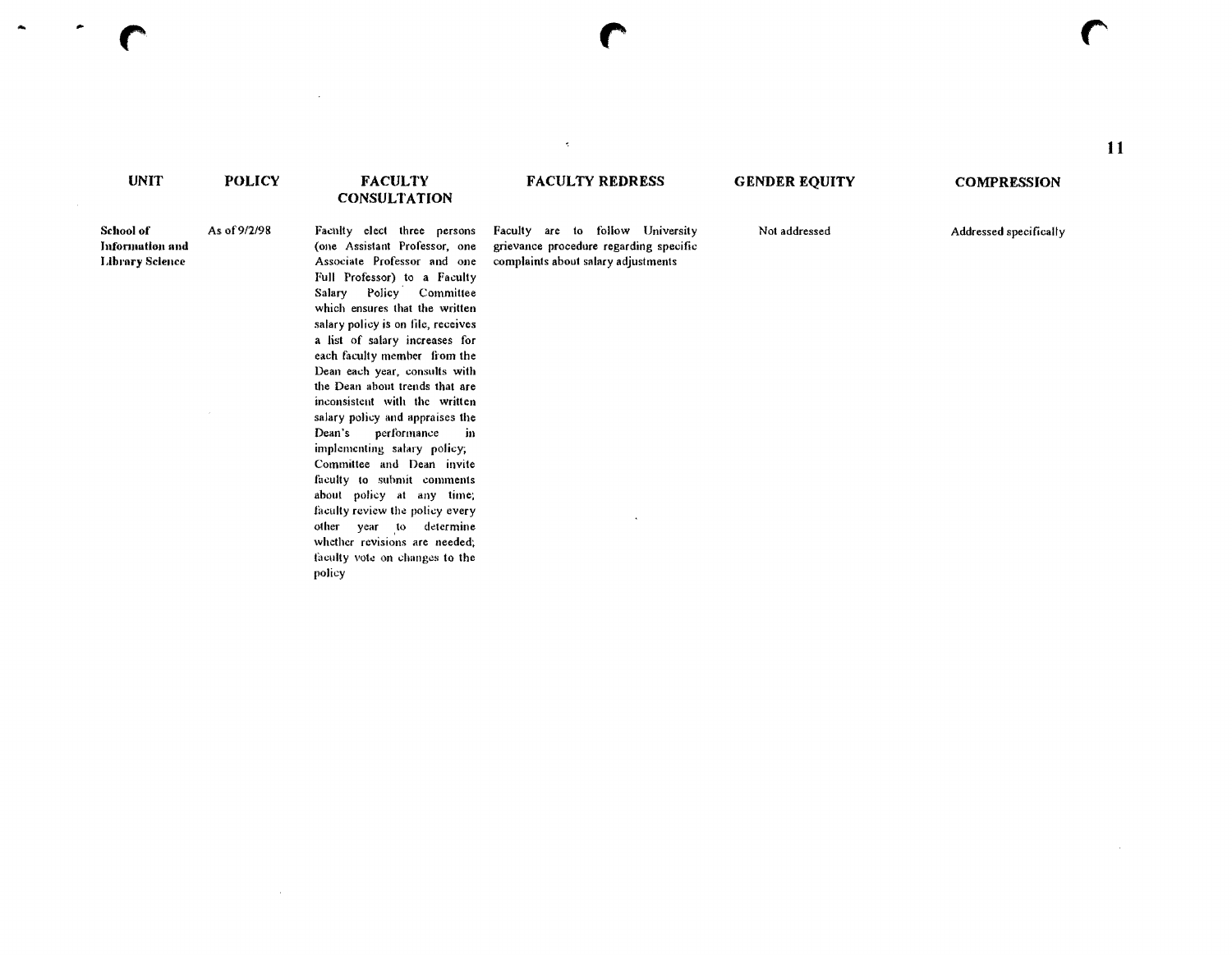#### **UNIT POLICY**  School of As of 9/2/98 Information and **Library Science FACULTY CONSULTATION** Faculty elect three persons (one Assistant Professor, one Associate Professor and one FACULTY REDRESS **GENDER EQUITY COMPRESSION** Faculty are to follow University Motaddressed and Addressed specifically grievance procedure regarding specific complaints about salary adjustments

 $\overline{\phantom{a}}$ 

Full Professor) to a Faculty Salary Policy Committee which ensures that the written salary policy is on file, receives a list of salary increases for each faculty member from the Dean each year, consults wilh the Dean about trends that are inconsistent wilh the written salary policy and appraises the Dean's perlormance in implementing salary policy; Committee and Dean invile faculty to submit comments about policy at any time; faculty review the policy every other year to determine whether revisions are needed; faculty vote on changes to the policy

 $\sim$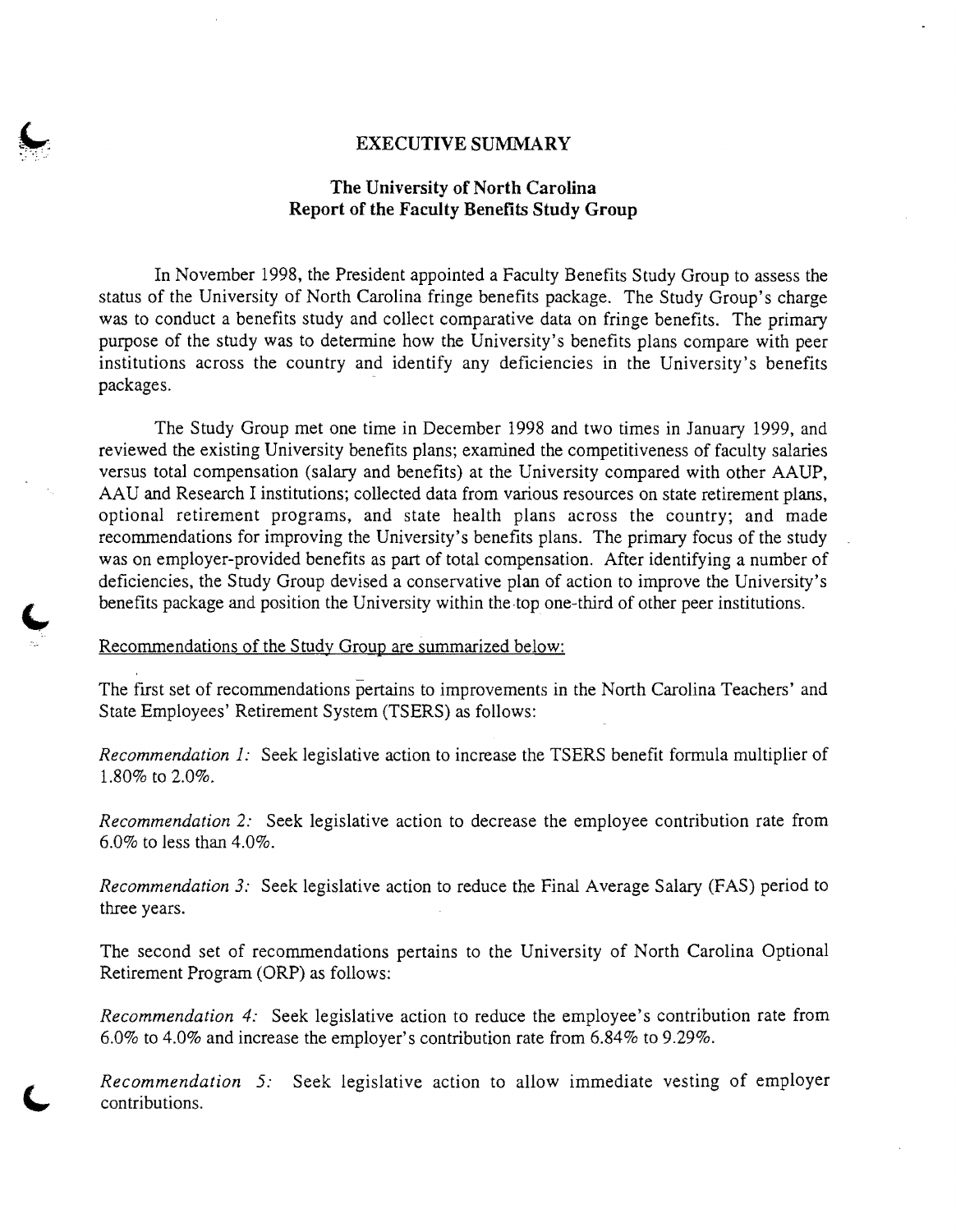#### **EXECUTIVE SUMMARY**

### **The University of North Carolina Report of the Faculty Benefits Study Group**

In November 1998, the President appointed a Faculty Benefits Study Group to assess the status of the University of North Carolina fringe benefits package. The Study Group's charge was to conduct a benefits study and collect comparative data on fringe benefits. The primary purpose of the study was to determine how the University's benefits plans compare with peer institutions across the country and identify any deficiencies in the University's benefits packages.

The Study Group met one time in December 1998 and two times in January 1999, and reviewed the existing University benefits plans; examined the competitiveness of faculty salaries versus total compensation (salary and benefits) at the University compared with other AAUP, AAU and Research I institutions; collected data from various resources on state retirement plans, optional retirement programs, and state health plans across the country; and made recommendations for improving the University's benefits plans. The primary focus of the study was on employer-provided benefits as part of total compensation. After identifying a number of deficiencies, the Study Group devised a conservative plan of action to improve the University's benefits package and position the University within the top one-third of other peer institutions.

Recommendations of the Study Group are summarized below:

The first set of recommendations pertains to improvements in the North Carolina Teachers' and State Employees' Retirement System (TSERS) as follows:

*Recommendation* 1: Seek legislative action to increase the TSERS benefit formula multiplier of 1.80% to 2.0%.

*Recommendation* 2: Seek legislative action to decrease the employee contribution rate from 6.0% to less than  $4.0\%$ .

*Recommendation* 3: Seek legislative action to reduce the Final Average Salary (FAS) period to three years.

The second set of recommendations pertains to the University of North Carolina Optional Retirement Program (ORP) as follows:

*Recommendation* 4: Seek legislative action to reduce the employee's contribution rate from 6.0% to 4.0% and increase the employer's contribution rate from 6.84% to 9.29%.

*Recommendation* 5: Seek legislative action to allow immediate vesting of employer contributions.